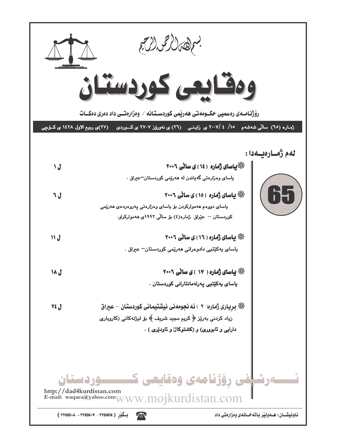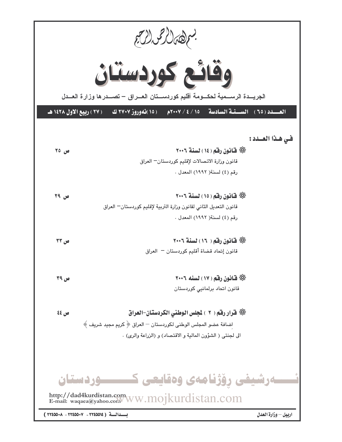|                                         | بع الصدن عن الاحجم                                                                                       |                     |
|-----------------------------------------|----------------------------------------------------------------------------------------------------------|---------------------|
|                                         | وقائع كوردستان<br>الجريـــدة الرســـمية لحكـــومة أقليم كوردســـتان العـــراق – تصـــدرها وزارة العـــدل |                     |
| ( ٢٧ ) ربيع الأول ١٤٢٨ هـ               | العسيدد (٦٥) السينية السادسة - ٢٠٠٧/٤/٧٠٠٧م<br>( ١٥ )نهوروز ٢٧٠٧ ك                                       |                     |
|                                         |                                                                                                          | في هذا العسدد :     |
| ص ۲۵                                    | صلى قيانون رقم ( ١٤ ) لسنة ٢٠٠٦                                                                          |                     |
|                                         | قانون وزارة الاتصالات لإقليم كوردستان— العراق                                                            |                     |
|                                         | رقم (٤) لسنة( ١٩٩٢) المعدل .                                                                             |                     |
|                                         |                                                                                                          |                     |
| ص ۲۹                                    | 88 قانون رقم ( ١٥ ) لسنة ٢٠٠٦                                                                            |                     |
|                                         | قانون التعديل الثاني لقانون وزارة التربية لإقليم كوردستان— العراق                                        |                     |
|                                         | رقم (٤) لسنة( ١٩٩٢) المعدل .                                                                             |                     |
| ص ۳۳                                    | % قانون رقم ( ١٦ ) لسنة ٢٠٠٦                                                                             |                     |
|                                         | قانون إتحاد قضاة أقليم كوردستان – العراق                                                                 |                     |
|                                         |                                                                                                          |                     |
| ص ۳۹                                    | صلى الله قضافون رفقه ( ١٧ ) لسنه ٢٠٠٦                                                                    |                     |
|                                         | قانون اتحاد برلمانیی کوردستان                                                                            |                     |
| ص ٤٤                                    | 88 قرار رقم ( ٢ ) لجلس الوطني الكردستان-العراق                                                           |                     |
|                                         | اضافة عضو المجلس الوطني لكوردستان — العراق ﴿ كريم مجيد شريف ﴾                                            |                     |
|                                         | الى لجنتي ( الشؤون المالية و الاقتصاد) و (الزراعة والري) .                                               |                     |
|                                         |                                                                                                          |                     |
|                                         | ەرشيفى رۆژنامەي وەقايعى ك                                                                                |                     |
|                                         |                                                                                                          |                     |
|                                         | http://dad4kurdistan.com<br>E-mail: waqaea@yahoo.com WW.mojkurdistan.com                                 |                     |
| بسدائكة ( ٢٢٤٥٥٠٧ - ٢٢٤٥٥٠٧ - ٢٢٤٥٥٠٨ ) |                                                                                                          | اربيل — وزارة العدل |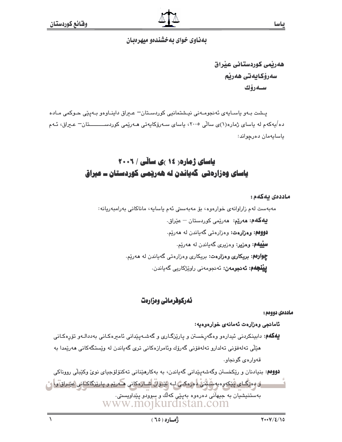#### بهناوی خوای به خشندهو میهرهبان

هەرتمى كوردستانى عنراق سەرۆكايەتى ھەرپم سـەرۆك

پــشت بــەو پاســايەي ئەنجومــەنى نيــشتمانيي كوردســتان− عــبراق داينــاوەو بــەيـێي حــوكمي مــادە ده/بەكەم لە ياساي ژمارە(١)ي سالّى ٢٠٠٥، ياساي سـەرۆكايەتى ھـەرێمى كوردســـــــــتان− عـىراق، ئــەم باسابهمان دەرجواند:

# یاسای ژهاره( ۱۶ )ی سالّی / ۲۰۰۲ یاسای وهزارهتی گهیاندن له ههریمی کوردستان ــ عیراق

ماددەى بەكەم :

مەبەست لەم زاراوانەي خوارەوە، بۆ مەبەستى ئەم ياسايە، ماناكانى بەرامبەريانە: **يەكەم: مەريّم:** مەريّمى كوردستان <sup>ــ</sup> عيّراق.

> دووهم: ومزارمت: ومزارمتي گهياندن له ههريم. **سِيْيهُم: وەزير:** وەزيرى گەياندن لە ھەرێم. **چوارهم: بریکاری وهزارهت:** بریکاری وهزارهتی گهیاندن له ههریم.

**ييْنْچَەم: ئەدجومەن:** ئەدجومەنى راوێژكارىي گەياندن.

#### نەركوفرمانى وەزارەت

#### ماددهى دوومم:

#### ئامانجي وەزارەت ئەمانەي خوارەوەيە:

**بيهگهم:** دابينكردني ئيدارهو وهگەرخستن و يارێزگـاري و گهشـهيێداني ئامبرهكـاني بهددالـهو تۆرەكـاني مٽِلْي تەلەڧۆنى تەلدارو تەلەڧۆنى گەرۆك وئامرازەكانى ترى گەياندن لە وێستگەكانى ھەرێمدا بە قهوارهي گونجاو.

دووهم: بنيادنان و ريكخستن وگهشه ييداني گهياندن، به بهكارهيّناني تهكنولوّجياي نوي وكيّبلّي رووناكي او بەزگىلى يېچەرەبەشتىن لورەكى بە ئېتوان شارەكانى ھەرپە و يارېزگاكئانى غېراق وار

> بهستنيشيان به جيهآنی دهرهوه بهپێي کهلّك و سوودو پێداويستی٠ www.moikurdistan.com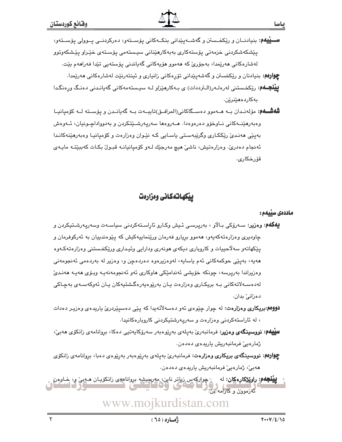**پینچــهم:** رێکخـستنی لهرهلـهر(الـترددات) ی بـهکارهێزاو لـه سیـستهمهکانی گهیانـدنی دهنـگ ورهنگـدا بەكاردەھێئرێن،

**شُهشــهم:** مۆلەنـدان بــه هــهموو دەســگاكانى(المرافــق)تايبــهت بــه گەيانــدن و يۆســته لــه كۆميانيــا وەبەرھێنــەكانى نــاوخۆو دەرەوەدا. ھــەروەھا سەريەرشــێتكردن و بەدوواداچـونيان، ئــەوەش بەيێى ھەندىّ رێككارى وگرێبەستى ياسايى كە نێوان وەزارەت و كۆميانيـا وەبەرھێنەكانـدا ئەنجام دەدريٰ. وەزارەتيش، ناشىٰ ھيچ مەرجێك لـەو كۆميانيانـە قبـولْ بكـات كەببێتـە مايـەي قۆرخكار*ى*.

# بتكهاتهكاني ومزارمت

#### ماددەى سىيەم:

ىاسا

- **لِيُهگُهُم: وەزير:** سـﻪرۆكى بـﺎلاّو ، بەرپرسـى ئـيش وكـارو ئاراسـتەكردنى سياسـەت وسەرپەرشـتيكردن و چاودیری وهزارهتهکهیهو، ههموو بریارو فهرمان ورێنماییهکیش که پێوهندییان به ئهرکوفرمان و یێکهاتهو سهلاحییات و کاروباری دیکهی هونهری ودارایی وئیداری ورێکخستنی وهزارهتهکهوه هەيە، بەيێى حوكمەكانى ئەم ياسايە، لەوەزيرەوە دەردەچن و، وەزير لە بەردەمى ئەنجومەنى وەزيراندا بەريرسە، چونكە خۆيشى ئەندامێكى ھاوكارى ئەو ئەنجومەنەپە وبىۆى ھەپـە ھەنـدىّ لەدەسـەلاتەكانى بـە بريكـارى وەزارەت يـان بەرێوەيەرەگـشتيەكان يـان ئەوكەسـەى بەچـاكى دەزانىؒ بدان.
- **دوومم:بریکاری وهزارهت**: له چوار چێوهی ئهو دهسهلأتهیدا که پێی دهسپێردری یاریدهی وهزیـر دهدات ، له ئاراستهکردنی وهزارهت و سهرپهرشتیکردنی کاروبارهکانیدا.
- **سلبیلهم: نووسىينگەي وەزير:** فرمانبەرێ بەپلەي بەرێوەبەر سەرۆكاپەتىيى دەكا، بروانامەي زانكۆي ھەبئ، ژمارەيىؒ فرمانبەريش ياريدەي دەدەن٠
- **چوارەم: نووسىينگەي بريكارى وەزارەت: ف**رمانبەرىّ بەيلەي بەرێوەبەر بەرێوەي دەبا، بروانامەي زانكۆي ھەبى، ژمارەيى فرمانبەريش ياريدەي دەدەن.
- **پينجهم: راويژکارهکان**: له په چوارکهس زياتر ناين، مهرسيشه بروانامهى زانکويـان هـهبي و، ئه; موون و کارامه من.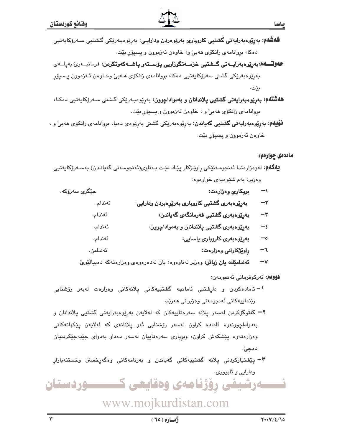**حموتسمه**م:بەرێوەبەراپــەتى گــشتيى خزمــەتگوزاريى يۆســتەو ياشــەكەوتكردن: فرمانبــەرئ بەيلــەي بەرپوەمبەرێکى گشىتى سەرۆکايەتيى دەكا، بروانامەي زانكۆى ھـﻪبى ٘وخـﺎوەن ئـﻪزموون پـﺴﭙﯚڕ بێت.

**هەشتەم: بەرێوەبەراپەتى گشتپى پلاندانان و بەدواداچوون:** بەرێوەبـەرێکى گىشتى سـەرۆکاپەتپى دەکـا، بروانامهي زانكۆي هەبيّ و ، خاوەن ئەزموون و يسيۆر بێت.

**نۇپەم: بەرپوەبەراپەتى گشتپى گەپاندن:** بەرپوەبەرپكى گشتى بەرپوەي دەبا، بروانامەي زانكۆي ھەبئ و ، خاوهن ئەزموون و پسيۆر بێت٠

#### ماددهۍ چوارهم:

 $-\vee$ 

**یهگهم:** لەوەزارەتدا ئەنجومـەنێکى راوێـژکار پێـك دێـت بـەناوی(ئەنجومـەنى گەپانـدن) بەسـەرۆکاپەتيى وهزیر، بهم شێوهیهی خوارهوه:

جێگری سەرۆكە٠ بریکاری وهزارهت:  $\rightarrow$ ئەندام. بەريوەبەرى گشتيى كارويارى بەريوەبردن ودارايى:  $-\tau$ بەرێوەبەرى گشتيى ڧەرمانگەي گەياندن:  $-\mathsf{r}$ ئەندام. بەرێوەبەرى گشتيى پلاندانان و بەدواداچوون: ئەندام.  $-\epsilon$ ئەندام. بەرێوەبەرى كاروپارى پاسايى:  $-\circ$ ئەندامن. رِاوێۣژکارانی وەزارەت:  $\mathcal{I}$ **ئەندامێك، يان زياتر،** وەزير لەناوەوە، يان لەدەرەوەي وەزارەتەكە دەييالێوێ.

4ووهم: ئەركوفرمانى ئەنجومەن:

1– ئامادەكردن و دارشتنى ئامانجە گشتپيەكانى يلانەكانى وەزارەت لەبەر رۆشنايى رێنماييەكانى ئەنجومەنى وەزيرانى ھەرێم.

- ۲– گفتوگۆکردن لەسەر يلانە سەرەتاپيەكان كە لەلايەن بەرێوەبەرايەتى گشتيى يلاندانان و بەدواداچوونەوە ئامادە كراون لەسەر رۆشنايى ئەو يلانانەى كە لەلايەن يێكھاتەكانى وەزارەتەوە پێشكەش كراون، وبريارى سەرەتاييان لەسەر دەداو بەدواى جێبەجێكردنيان ده چې'.
- ۴- يێشنيازكردنى يلانه گشتييهكانى گەياندن و بەرنامەكانى وەگەرخستن وخستنەبازار ودارايي و ئابووري.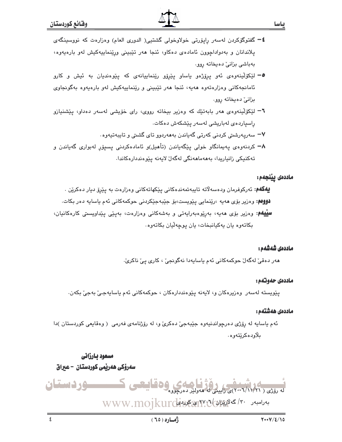- ٤− گفتوگۆکردن لەسەر رايۆرتى خولاوخولى گشتيى( الدورى العام) وەزارەت كە نووسىنگەى پلاندانان و بهدواداچوون ئامادهى دەكاو، ئنجا ھەر تێبينى ورێنماييەكيش لەو بارەيەوە، بەباشى بزانى دەيخاتە روو.
- 0– لێکۆلٚينەوەي ئەو پرِۆژەو ياساو پێرۆو رێنماييانەي کە پێوەنديان بە ئيش و کارو ئامانجەکانى وەزارەتەوە ھەيە، ئنجا ھەر تێبینى و رێنماييەکيش لەو بارەيەوە بەگونجاوى بزانیؒ دەيخاتە روو.
- ۲– لێکۆلّینهوهی ههر بابهتێك كه وهزیر بیخاته رووی، رای خۆیشی لهسهر دهداو، پێشنیازو راسياردەى لەبارىشى لەسەر يێشكەش دەكات.
	- ▼− سەريەرشىتى كردنى كەرتى گەباندن بەھەردوو تاي گشىتى و تاببەتيەوە٠
- ٨− کردنەوەی پەيمانگاو خولى پێگەياندن (تأھيل)و ئامادەکردنى پسپۆر لەبوارى گەياندن و تەكنيكى زانياريدا، بەھەماھەنگى لەگەلّ لايەنە يێوەنددارەكاندا.

#### ماددەى يېنجەم:

ىاسا

**يەگەم**: ئەركوفرمان ودەسەلاتە تايبەتمەندەكانى يێكھاتەكانى وەزارەت بە يێرۆ ديار دەكرێن . **دوومم:** وەزیر بۆی مەيە ،رێنمايى يێویست،بۆ جێبەجێکردنى حوکمەکانى ئەم ياسايە دەر بکات. **سلیلهم:** وەزیر بۆی ھەیە، بەرێوەبەرایەتی و بەشەکانی وەزارەت، بەیێی یێداویسىتی کارەکانیان، بكاتەوه يان يەكيانبخات، يان پوچەليان بكاتەوه.

#### ماددەى شەشەھ :

هەر دەقىؒ لەگەلؒ حوكمەكانى ئەم ياسايەدا نەگونجىؒ ، كارى يىؒ ناكرىؒ·

#### ماددەي حەوتەم:

يٽويسته لەسەر وەزيرەكان و، لايەنە يێوەنددارەكان ، حوكمەكانى ئەم ياسايەجـێ بەجێ بكەن.

#### ماددەى ھەشتەم:

ئهم ياسايه له رِۆژې دەرچواندنيەوە جێبەجىٚ دەكرىٰ و، له رۆژنامەي فەرمى ( وەقايعى كوردستان )دا بلاوڊەكرێتەوە.

مسعود بارزاني سەرۆكى ھەريمى كوردستان – عيراق ا کا محکم کی استعیاد میں استعیاد میں استعیاد میں استعماد میں اس کا استعماد میں اس کا استعماد میں استعماد میں<br>مسئل میں استعماد میں استعماد میں استعماد میں استعماد میں استعماد میں استعماد میں استعماد میں استعماد میں استعم **۱۹۰۰ نسخه**  $\frac{1}{2}$  (c(Y ii )  $\frac{1}{2}$  (c) ) (c) ii) a www.mojkurdeystypy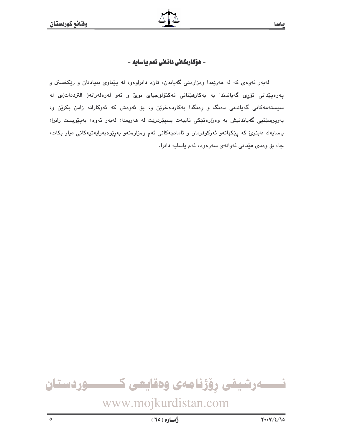## - هۆكارەكانى دانانى ئەم ياسايە -

لهبهر ئهوهي که له ههريمدا وهزارهتي گهياندن، تازه دانراوهو، له پيناوي بنيادنان و ريکخستن و پەرەپێدانى تۆرى گەياندندا بە بەكارەپێنانى تەكنۆلۆجياى نوىّ و ئەو لەرەلەرانە( الترددات)ى لە سیستهمهکانی گهیاندنی دهنگ و رهنگدا بهکاردهخرین و، بوّ ئهوهش که ئهوکارانه زامن بکرین و، بەرپرسێتیی گەیاندنیش بە وەزارەتێکی تایبەت بسیێردرێت لە ھەرپمدا، لەبەر ئەوە، بەيێویست زانرا، ياسايەك دابنرى كە يێكھاتەو ئەركوفرمان و ئامانجەكانى ئەم وەزارەتەو بەرێوەبەرايەتيەكانى ديار بكات، جا، بۆ وەدى ھێنانى ئەوانەي سەرەوە، ئەم ياسايە دانرا.



www.mojkurdistan.com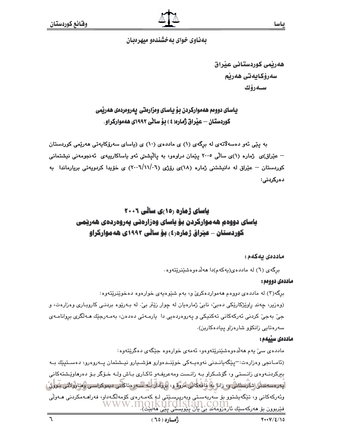باسا

بهناوی خوای به خشندهو میهرهبان

هەريمى كوردستانى عيراق سەرۆكايەتى ھەرپم سـەرۆك

ياسای دوومم ههموارکردن بۆ ياسای ومزارەتی يەرومردەی هەرپمی کوردستان — عیراق ژماره( ٤ ) بو سانی ۱۹۹۲ی ههموارکراو.

به پێی ئەو دەسەلاتەی لە برگەی (۱) ی ماددەی (۱۰) ی (پاسای سەرۆکاپەتی ھەرپمی کوردستان – عێراق)ی ژماره (۱)ی سالّی ۲۰۰۵ پیّمان دراوهو، به پالْیشتی نُهو یاساکارییهی نُهنجومهنی نیشتمانی کوردستان – عیّراق له دانیشتنی ژماره (۱۸)ی رۆژی (۱/۰\/۰٦)۱) ی خوّیدا کردویهتی بریارماندا به دەركردنى:

# **یاسای ژماره (10)ی سالّی ۲۰۰۱** یاسای دووهم هه موارکردن بو یاسای وهزارهتی پهروهردهی ههریمی کوردستان – عیّراق ژماره(۶) بوّ ساڵی ۱۹۹۲ی هه موارکراو

#### ماددەى ئەكەم:

برگهی (٦) له ماددهی(پهکهم)دا ههلاهوهشینریتهوه.

#### ماددهى دوومم:

برگه(۳) له ماددهی دووهم ههمواردهکریّ و، بهم شندومیهی خوارهوه دهخوینزیتهوه: (وهزير، چەند راوێژکارێکي دەبی، نابی ژمارەيان له چوار زێتر بیْ. له بـهرێوه بردنـی کاروبـاری وهزارەت، و جيّ بهجيّ کردني ئهرکهکاني تهکنيکي و پهروهردهيي دا پارمـهتي دهدهن، بهمـهرجێك هـهڵگري بروانامـهي سەرەتايى زانكۆو شارەزاو ييادەكارين).

#### ماددەى سىيەم:

مادده ی سی پهم ههلدهوهشێنرێتەوهو، ئەمەی خوارەوه جێگەی دەگرێتەوە: (ئامـانجى وەزارەت:¬يێگەيانـىدنى نەوەپـەكى خوێنـىدەوارو ھۆشـيارو نيـشتمان پــەروەرو، دەسـتيێك بــە بیرکردنـهوهی زانـستی و، گۆشـكراو بـه زانـست ومهعریفـهو ئاكـاری بـاش ولـه خـۆگر بـۆ دهرهاوێـشتهكانی ا پەرەسەندى*نى ش*ارستانى ئ زانا بە قاقەكانى مروقى، بريادار بە سەرەتاكانى دىموكراسى ۋەبارولاتى بىرون<sup>،</sup> ، وئەركەكانى و، تێگەيشتوو بۆ سەربەسىتى وبەرپرسىيتى لـﻪ كەمـﻪرەي كۆمەلگـﻪداڧ فەراھـﻪمكردنى ھـﻪولْي <u>فێڔبوون بۆ ھەركەسىيّك ئارەزوم</u>ەند بى [WWW.M.Q][KUI distan]<br>ف<u>ێربوون بۆ ھەركەسىيّك ئارەزوم</u>ەند بى يان پىيويىستى يىيى ھەلبىتى؟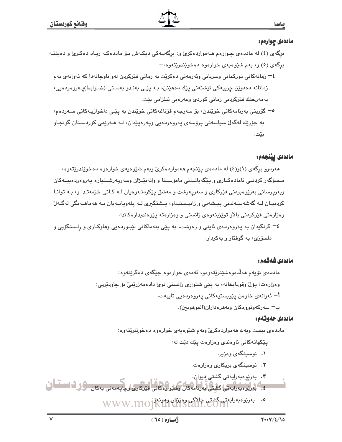#### ماددهۍ چوارمم :

ىاسا

برِگهی (٤) له ماددهی چـوارهم هـهمواردهکری و، برِگهیـهکی دیکـهش بـۆ ماددهکـه زیـاد دهکـری و دهبێتـه بږگهی (٥) و، بهم شێوهیهی خوارهوه دهخوێندرێتهوه:¬

- ٤− زمانهکانی تورکمانی وسریانی وئهرمهنی دهکرێت به زمانی فێرکردن لهو ناوچانهدا که ئهوانهی بهم زمانانه دەدوێن چرییەکی نیشتەنی پێك دەھێنن، بـه پێی بەنـدو بەسـتی (ضـوابط)پـەروەردەيی، بەمەرجێك فێركردنى زمانى كوردى وعەرەبى ئيلزامى بێت.
- ۰– گۆرىنى بەرنامەكانى خويندن، بۆ سەرجەم قۆناغەكانى خويندن بە پێى داخوازيـەكانى سـەردەم، به جۆرێك لەگەل ّسياسەتى پرۆسەي پەروەردەيى وپەرەپێدان، لـە ھـەرێمى كوردسىتان گونجـاو بێت.

#### ماددەى يينجەم:

ههردوو برِگهی (۱)ور٤) له ماددهی پێنجهم ههمواردهکریّ وبهم شێوهیهی خوارهوه دهخوێندرێتهوه: مـسۆگەر كردنــى ئامادەكــارى و پێگەيانـىدنى مامۆسىـتا و وانەبێـژان وسەرپەرشــتيارە پەروەردەييــەكان وبهرپرسانی بهرێوهبردنی فێرکاری و سهرپهرشت و مهشق پێکردنـهوهیان لـه کـاتی خزمهتـدا و، بـه توانـا کردنیـان لـه گهشهسـهندنی پیـشهیی و زانیـستیداو، پـشتگیری لـه پلهوپایـهیان بـه ههماهــهنگی لهگـهلّ وهزارهتی فێرکردنی بالأو توێژینهوهی زانستی و وهزارهته پێوهندیدارهکاندا

٤− گرنگیدان به پهروهردهی ئاینی و رهوشت، به پێی بنهماکانی لێبـوردهیی وهاوکـاری و رِاسـتگزیی و دلسۆزى، بە گوفتار و بەكردار.

#### ماددەى شەشەم :

ماددهی نۆیەم ھەلدەوەشێنرێتەوەو، ئەمەی خوارەوە جێگەی دەگرێتەوە:

وەزارەت، پۆل وقوتابخانە، بە پێى شێوازى زانستى نوێ دادەمەزرێنێ بۆ چاودێريئ:

<mark>ا</mark> – ئەرانەى خارەن پێريستيەكانى پەررەردەيى تايبەت.

ب— سەركەوتووەكان وبەھرەداران(الموھوبين).

#### ماددەى حەوتەم :

مادده ی بیست ویهك ههمواردهكریّ وبهم شێوهیهی خوارهوه دهخوێنرێتهوه:

پ<mark>ێِکهات</mark>هکانی ناوهن*دی و*هزارهت پِێك دێت له:

- ۰۱ نوسینگهی وهزیر.
- ۰. نوسینگهی بریکاری وهزارهت.
- <u> رچاپه مەنى يەكان. **ئى ئى ئەستىيان**</u> 
- - P;"H-T 9"B - -T>-T/ " <a ۰۳ بەر<u>پ</u>وەبەرايەتى گشتى دىيوان.
	- ە. بەرنيوەبەرايەتى گشتى جالاكى وەززش وھونەز WWW.MOjKULUIStdII.COm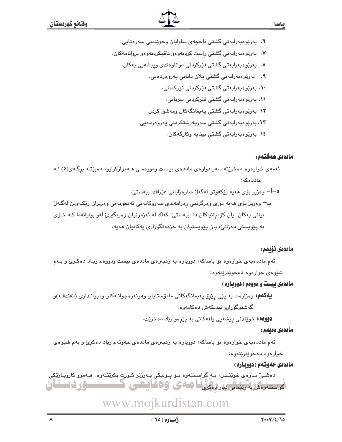٦. بەرێوەبەرايەتى گشتى باخچەي ساوايان وخوێندنى سەرەتايى. ٠٧ بەرێوەبەرايەتى گشتى راست كردنەوەو تاقيكردنەوەو بروانامەكان. ۸. بەرێوەبەرايەتى گشتى فێركردنى دواناوەندى وييشەيى يەكان. ۰۹ بەرپوەبەرايەتى گشتى يلان دانانى يەروەردەيى. **۱۰.** بەرێوەبەرايەتى گشتى فێركردنى توركمانى. ٠١١ بەريوەبەرايەتى گشتى فيركردنى سريانى٠ ١٢. بەريوەبەرايەتى گشتى يەيمانگەكان ومەشق كردن. **۱۳.** بەريوەبەرايەتى گشتى سەريەرشتكردنى يەروەردەيى. ١٤. بەريوەبەرايەتى گشتى بينايە وكارگەكان.

#### ماددەى ھەشتەم :

ئهمهی خوارهوه دهخریته سهر دواوهی ماددهی بیست ودووهمی هـهموارکراوو، دهبیتـه برگـهی(٥) لـه ماددهكه:

ه−أ− وەزير بۆي ھەيە رێكەوتن لەگەلٚ شارەزايانى عێراقدا ببەستىٚ.

ب— وهزیر بۆی هەیە دوای وەرگرتنی رەزامەندی سەرۆکاپەتی ئەنجومەنی وەزیران رێکەوتن لەگەلّ بياني پهکان پان کۆميانياکان دا بېهستې کهاله له ئەزمونيان وەريگىرى لەو بوارانەدا کـه خـۆي به ییویستی دهزانیٔ، یان ییویستیان به خزمهتگوزاری یهکانیان ههیه.

#### ماددەى نۆبەم :

ئهم ماددهیهی خوارهوه بۆ یاساکه، دووباره به زنجیرهی ماددهی بیست ودووهم زیـاد دهکـریّ و بـهم شێوهى خوارەوە دەخوێنرێتەوە:

#### ماددهی بیست و دووهم ( دووباره )

**لِيُهگُهُمْ:** وەزارەت بە پێى پێرێ پەيمانگەكانى مامۆستايان وهونەرەجوانـەكان وميوانـدارى (الفندقـه)و گەشتوگوزارو ئېدىكەش دەكاتەوە.

**دووهم:** خوێندني پيشهيي ولقهکاني به پێرِهو رێك دهخرێت.

#### ماددەى دەيەم :

ئهم ماددهیهی خوارهوه بۆ یاساکه، دووباره به زنجیرهی ماددهی حهوتهم زیاد دهکری و بهم شیوهی خوارموه دمخوێنرێتەوە:

#### ماددهی حهونشم ( دووباره )

دهشــیٰ مــاوهی خوێنــدن، بــه گواسـتنهوه بــوّ پــوّلیکی بــهرزتر کــورت بکرێتــهوه٠ هــهموو کاروبــارێکی گواستنەوەگەلبە يېيمايى ميار ئونى ئىل ئەلەك ۋەقالىكتى ك ــوردستان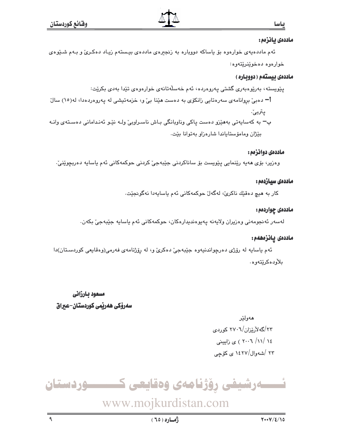# ياسا

#### ماددەى بانزەم :

ئهم ماددهیهی خوارهوه بۆ یاساکه دووباره به زنجیرهی ماددهی بیستهم زیاد دهکریّ و بـهم شـێوهی خوارەوە دەخوێنرێتەوە:

#### ماددهی بیستهم ( دووباره )

پێویسته، بەرێوەبەری گشتی پەروەردە، ئەم خەسلەتانەی خوارەوەی تێدا بەدی بکرێت:

أ¬ دەبیؒ بروانامەی سەرەتايى زانكۆی بە دەست ھێنا بیؒ و، خزمەتیشى لە پەروەردەدا، لە(١٥) سالؒ يتربى،

ب- به كەساپەتى بەھێزو دەست پاكى وناوبانگى باش ناسىراوبى ولـه نێو ئەندامانى دەستەي وانـه بێڗ۟ان ومامۆستاياندا شارەزاو بەتوانا بێت.

#### ماددهی دوانزمم:

وەزیر، بۆی مەيە رێنمايى پێویست بۆ ساناكردنى جێبەجىٚ كردنى حوكمەكانى ئەم ياسايە دەربچوێنىؒ٠

#### ماددەى سيازدەم :

کار به هيچ دەقێك ناكرێ، لەگەلٚ حوكمەكانى ئەم ياسايەدا نەگوئجێت٠

#### ماددەى چواردەم :

لەسەر ئەنجومەنى وەزيران ولايەنە پەيوەندىدارەكان، حوكمەكانى ئەم ياسايە جێبەجىٚ بكەن.

#### ماددەى يانزەھەم:

ئهم ياسايه له رۆژى دەرچواندنيەوه جێبەجىٚ دەكرىٰ و، له رۆژنامەي فەرمى(وەقايعى كوردسـتان)دا ىلأودەكرنتەوھ.

# مسعود بارزانى سەرۆكى ھەرپمى كوردستان–عبراق

هەولٽر ۲۳/گه لأريزان/۲۷۰٦ كوردى ١٤ /١١/ ٢٠٠٦ ) ي زابيني ۲۳ /شەوال/۱٤۲۷ ي كۆچى

۔رشیفی رؤژنامەی وەقايعی ک <u> سوردستان</u>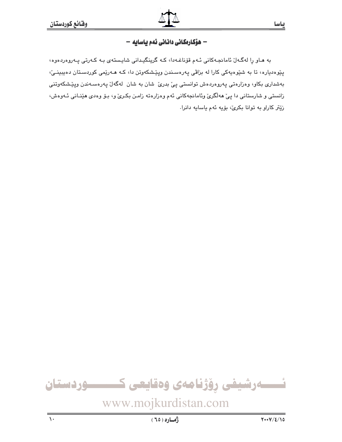#### — ھۆكارەكانى دانانى ئەم ياسايە —

به هـاو را لهگـهلٌ ئامانجـهکانی ئـهم قوّناغـهدا، کـه گرینگیـدانی شایـستهى بـه کـهرتی پـهروهردهوه، پێوهدیاره، تا به شێوهیهکی کارا له بزاڤی پهرهسندن وپێشکهوتن دا، کـه هـهرێمی کوردسـتان دهیبینـیٌ، بەشدارى بكاو، وەزارەتى پەروەردەش توانستى پىّ بدرىّ شان بە شان لەگەلْ پەرەسـەندن وپێشكەوتنى زانستی و شارستانی دا پیّ ههلگریّ وئامانجهکانی ئهم وهزارهته زامن بکریّ و، بوّ وهدی هیّنانی ئـهوهش، زيّتر كاراو به توانا بكريّ، بوّيه ئهم ياسايه دانرا.

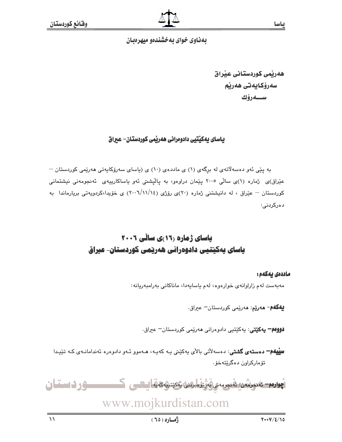باسا

#### بهناوی خوای به خشندهو میهرهبان

هەريمى كوردستانى عيراق سەرۆكايەتى ھەرپە ســەرۆك

#### یاسای یهکینیی دادومرانی ههریمی کوردستان– عبراق

به پێی ئەو دەسەلاتەی لە برگەی (۱) ی ماددەی (۱۰) ی (پاسای سەرۆکاپەتی ھەرێمی کوردستان – عیّراق)ی ژماره (۱)ی سالّی ۲۰۰۵ پیّمان دراوهو، به پالیشتی ئهو پاساکارییهی ئهنجومهنی نیشتمانی کوردستان – عێراق ، له دانیشتنی ژماره (۲۰)ی رۆژی (۱/۱//۱٤) ی خۆیدا،کردویهتی بریارماندا به دەركردنى:

# بیاسای ژماره (۱۲)ی سالّی ۲۰۰۱ یاسای پهکیتیی دادوهرانی ههریمی کوردستان- عیراق

#### ماددەى يەكەم :

مەبەست لەم زاراوانەي خوارەوە، لەم ياسايەدا، ماناكانى بەرامبەريانە:

**يەگەم- مەرێ**م: مەرێمى كوردستان<del>-</del> عيراق.

**دووهم- پهکێتی**: پهکێتیی دادوهرانی ههرێمی کوردستان- عیراق.

**سِلِیْهُم- دهستهی گشتی**: دهسهلاتی بالای بِهکیْتی بِـه کهیـه، هـهموو ئـهو دادوهره ئهندامانـهی کـه تێیـدا تۆماركراون دەگرىتەخۆ .

<u>سوردستان</u> ا**َچوارەم- ئ**ەدبولسْن؛ ئەدبومەتى(بەرْيُوْمايرەنى) بەكتىپەتەنى ! سىسى . د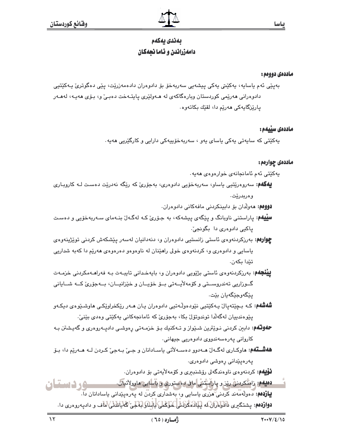# بەندى يەكەم دامهزراندن و ئاما نجهکان

#### ماددەى دوومم:

بەپێى ئەم ياسايە، يەكێتى يەكى پيشەيى سەربەخۆ بۆ دادوەران دادەمەزرێت، پێى دەگوترى يەكێتيى دادوهرانی هەرێمی کوردستان وبارەگاکەی لە ھـەولێری پایتـەخت دەبـیٚ و، بـۆی ھەيـە، لەھـەر پارێزگايەكى مەرێم دا، لقێك بكاتەوە

#### ماددەى سۆيەم :

پەكێتى كە سايەتى يەكى ياساى يەر ، سەربەخۆيپەكى دارايى و كارگێريى ھەيە

#### ماددەى چوارەم :

يەكێتى ئەم ئامانجانە*ى* خوارەوە*ى ھ*ەيە .

**یهگهم**: سەروەرێتیی یاساو، سەربەخۆیی دادوەری، بەجۆریٚ کە رێگە نەدرێت دەست لـە کاروبـاری وەربدرێت.

**دووهم: م**ەولدان بۆ دابينكردنى مافەكانى دادوەران.

- **سییهم**: پاراستنی ناوبانگ و پێگەی پیشەکە، بە جۆریٚ کـه لەگـەلْ بنـەمای سـەربەخۆیی و دەسـت پاکیی دادوهری دا بگونجیٚ۰
- چوارهم: بەرزكردنەوەي ئاستى زانستيى دادوەران و، دنەدانيان لەسەر پێشكەش كردنى توێژينەوەي یاسایی و دادوهری و، کردنهوهی خولی راهێنان له ناوهوهو دهرهوهی ههرێم دا کهبه شداریی تێدا بکەن.
- **پینجهم:** بەرزکردنەوەی ئاستى بژێويى دادوەران و، بايەخـدانى تايبـەت بـە فەراھـەمکردنى خزمـەت گـوزاریی تەندروســتی و کۆمەلآیــەتی بــۆ خۆیــان و خێزانیــان، بــەجۆرئ کــە شــایانی پێڰەرجێڰەيان بێت٠
- **شُهشهم:** کـه بـچێتهپالٌ یـهکێتیی نێودهوڵـهتیی دادوهران یـان هـهر رێکخراوێکـی هاوشـێوهی دیکـهو پێوەندىيان لەگەلدا توندوتۆل بكا، بەجۆرىٚ كە ئامانجەكانى يەكێتى وەدى بێنىٚ
- **حموتهم**: دابین کردنی نـوێترین شـێواز و تـﻪکنیك بـۆ خزمـﻪتی رِەوشـی دادپـﻪروەری و گەيـشتن بـﻪ کاروانی پهرهس<mark>هندووی دادوهریی جیهانی</mark>۰
- **ههشـتهم: م**اوکــاری لهگــهان هــهدوو دهســهلأتی باســادانان و جــیّ بــهجیّ کــردن لــه هــهریّم دا، بــوّ پەرەپێدانى رەوشى دادوەرى.

**نْوْيِهُم:** كردنەوەي ناوەندگەلى رۆشنبېرى و كۆمەلأيەتى بۆ دادوەران.

- 
- - <-- /\*] .-T- P -y-T# - - C"-T;?#9-40\* ' ..<br>**دوازدهم:** پشتکیری <u>دالوادل که پیانه کرد او کوکله کاپایش به کیا باشلی است و دادپدرودری دا.</u> **لیاژدهم:** دهولهٔمّهند کردنی هزری یاسایی و، بهشداری کردن له پهرهپێدانی یاسادانان دا -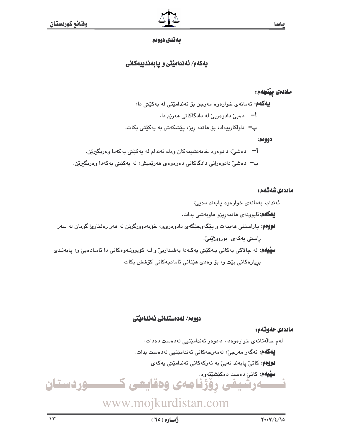

 باسا

#### يەندى دووەم

## یهکهم⁄ نهندامیْتی و یابهندییهکانی

#### ماددەى يېنجەم:

**پهگهم:** ئەمانەى خوارەوە مەرجن بۆ ئەندامێتى لە يەكێتى دا:

**أ–** دەبىؒ داد<sub>و</sub>ەربىؒ لە دادگاكانى ھەرێم دا.

ب− داواکارییهك، بۆ <mark>ماتن</mark>ه ریز، پێشکهش به یهکێتی بکات.

دوومم:

- ا.<br>استاده شی استان می ادوه در می از استان استان و دان گوندام له یه کنیتی یه که دا و در بگیرین استان
- ب= دەشىٚ دادوەرانى دادگاكانى دەرەوەي ھەرێميش، لە يەكێتى يەكەدا وەربگىرێن.

#### ماددەى شەشەم :

ئەندام، بەمانەى خوارەوە پابەند دەيىؒ: **یهگهم:**ئابوونەی ماتنەرِیزو ماوبەشى بدات. **دوومم**: پاراستنی مەيبەت و پێگەوجێگەی دادوەرىو، خۆبەدوورگرتن لە مەر رەفتارىّ گومان لە سەر راسىتى يەكە*ى* بورووژ<u>ێ</u>نىٚ<sup>.</sup> **سیّیهم:** له چالاکی یهکانی یـهکیّتی یهکـهدا بهشـداربیّ و لـه کوّبوونـهوهکانی دا ئامـادهبیّ و، پابهنـدی بریارهکانی بێت و، بۆ وەدى ھێنانى ئامانجەکانى كۆشش بكات.

#### دووهم⁄ لەدەستدانى ئەندامێتى

#### ماددەي حەوتەم:

لهم حالّهتانهی خوارهوهدا، دادوهر ئهندامێتیی لهدهست دهدات: **يەكەم**: ئەگەر مەرجىّ، لەمەرجەكانى ئەندامێتيى لەدەست بدات. **دوومم**: کاتی پابەند نەبی بە ئەرکەکانی ئەندامیتی يەکەی.

- نــــــهرشيفى رِوْژنامەى وەقايعى **سېيهم:** کاتیّ دەست دەکێشى<u>ٽ</u>تەوە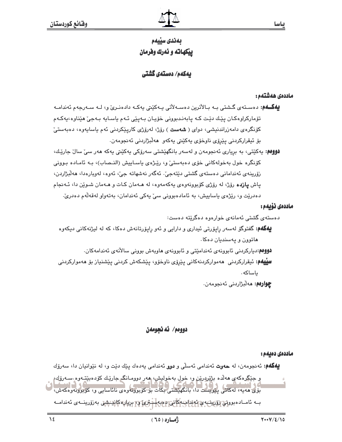# ىەندى سىيەم پیکهاته و نهرك وفرمان

#### ىەكەم/ دەستەي گشتى

#### ماددەى ھەشتەھ :

- **یهکــهم**: دهسـتهی گـشتی بـه بـالأترین دهسـهلأتی یـهکنتی یهکـه دادهنـریّ و، لــه سـهرجهم ئهندامــه تۆماركراوەكان پێك دێت كە پابەندبوونى خۆيان بەپێى ئـەم ياسـايە بـەجىٚ ھێناوە،يەكـەم كۆنگرەي دامەزراندنىشى، دواي ( **شەست** ) رۆژ، لەرۆژى كارپێكردنى ئەم ياسايەوە، دەبەستى<u>ّ</u> بۆ ئىقراركردنى پێرۆى ناوخۆى يەكێتى يەكەو ھەلىژاردنى ئەنجومەن.
- **دوومم**: يەكێتى، بە برِيارى ئەنجومەن و لەسەر بانگهێشتى سەرۆكى يەكێتى يەكە ھەر سىٚ سال<sub>ٚ</sub> جارێك، كۆنگرە خول بەخولەكانى خۆى دەبەستى و، رێژەى ياسـاييش (النـصاب)، بـه ئامـادە بـوونى زۆرينەي ئەندامانى دەستەي گشتى دێتەجىٚ. ئەگەر نەشھاتە جىٚ، ئەوە، لەوبارەدا، ھەلٚبژاردن، پاش **پازده** رۆژ، له رۆژى كۆبوونەوەى يەكەمەوە، لە ھـەمان كـات و ھـەمان شـوێن دا، ئـەنجام دهدرێت و، رێژەی ياساييش، به ئامادەبوونى سىّ يەكى ئەندامان، بەتەواو لەقەلّەم دەدرىّ.

#### ماددەى ئۆيەم:

دەستەى گشتى ئەمانەى خوارەوە دەگرێتە دەست:

**پهگهم:** گفتوگۆ لەسەر <sub>پ</sub>اپۆرتى ئيدارى و دارايى و ئەو پاپۆرتانەش دەكا، كە لە ليژنەكانى دىكەوە هاتوون و پهسنديان دهکا.

- **دووهم**:دیارکردنی ئابوونهی ئەندامێتی و ئابوونەی ھاوبەش بوونی سالآنەی ئەندامەکان.
- **سییهم:** ئیقرارکردنی مەموارکردنەکانی پیْرِۆی ناوخۆو، پیْشکەش کردنی پیْشنیاز بۆ مەموارکردنی ياساكه .

**چوارەم: م**ەلّبژاردنى ئەنجومەن.

# دووم/ ئه نجومهن<br>دووم/ ئه نجومهن

#### ماددەى دەيمە :

يهكهم: ئەنجومەن، لە حەوت ئەندامى ئەسلى و دوو ئەندامى يەدەك پێك دێت و، لە نێوانيان دا، سەرۆك

- 
- - -1X 7-1 -T-P 7-7 -=? -T"OF -1 -E"
-T/&-1.-P7 و جێڲرهکەي مەلدە بژێردرێڼ و، خول بەخوليش، مەر دوومـانگ جارێـك کۆدەبێتـەوە سـەرۆك،

بــه ئامــادەبوونى[ۆوپكە:۴] اغتاج|انى 1919-يىلىرى 19 بريارەكانتىشق بەزۆرىنــەي ئەندامــە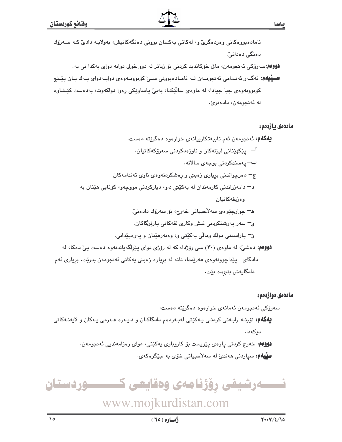ئامادەبووەكانى وەردەگرى و، لەكاتى بەكسان بوونى دەنگەكانىش، بەولايـە دادى كـە سـەرۆك دەنگى دەداتىٰ.

**دووم:**سەرۆكى ئەنجومەن، ماڧى خۆكاندىد كردنى بۆ زياتر لە دوڧ خولى دوابە دواى يەكدا نى يە .

**ســـليهم:** ئەگــەر ئەنــدامى ئەنجومــەن لــە ئامــادەبوونى ســى كۆبوونــەوەى دوابــەدواى پــەك پــان يێــنج کۆبوونەوەي جيا جيادا، لە ماوەي سالْيْکدا، بەبىِّ ياساويْکى رەوا دواکەوت، بەدەست کيّشاوە له ئەنجومەن، دادەنرىٰ.

#### ماددەى يازدەم :

**بيهگهم:** ئەنجومەن ئەم تايبەتكارىيانەي خوارەوە دەگريتە دەست:

- <sup>اَ—</sup> يێکهێنانی ليژنهکان و ناوزهدکردنی سهرۆکهکانيان٠
	- ب–يەسندكردنى بوجەي سالانە.
- ج– دەرچواندنى بريارى زەبتى و رەشكردنەوەي ناوى ئەندامەكان.
- د– دامەزراندنى كارمەندان لە يەكێتى داو، دياركردنى مووچەو، كۆتايى ھێنان بە وەزيفەكانيان.
	- ه= چوارچێوەي سەلاّحيياتى خەرج، بۆ سەرۆك دادەنىٚ.
	- و¬ سەر پەرشتكردنى ئېش وكارى لقەكانى پارێزگاكان٠
	- ز<del>-</del> ياراستني مولك ومالّي يەكێتى و، وەبەرھێنان و يەرەپێدانى.
- **دوومم:** دهشی، له ماوه ی (۳۰) سی روّژدا، که له روّژی دوای پیّراگهپاندنهوه دهست ییّ دهکا، له دادگای پیپداچوونهوهی ههرپمدا، تانه له بریاره زهبتی یهکانی ئهنجومهن بدرپت. بریاری ئهم دادگايەش بنېردە بێت.

#### ماددەى دوازدەم :

سەرۆكى ئەنجومەن ئەمانەي خوارەوە دەگرێتە دەست:

**پهگهم:** نۆینـه رایـهتی کردنـی یـهکێتی لهبـهردهم دادگاکـان و دایـهره فـهرمی یـهکان و لایهنـهکانی دىكەدا.

> **دووهم:** خەرج كردنى يارەي يێويست بۆ كارويارى يەكێتى، دواي رەزامەندىي ئەنجومەن. سلبلهام: سپاردنی هەندی له سەلاحییاتی خۆی به جێگرەكەی.

ەرشيفى رۆژنامەي وەقايعى ك <u>موردستان</u>

www.mojkurdistan.com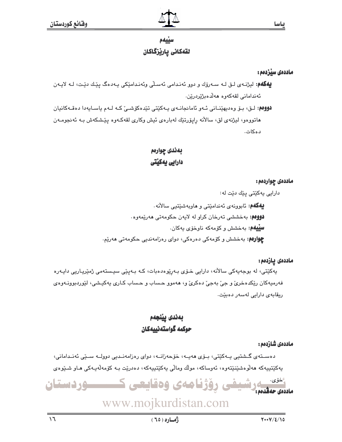# لقەكانى ياريزگاكان

#### ماددهى سنزدمم:

- **پهکهم**: لیژنـهى لـق لـه سـهرۆك و دوو ئهندامى ئهسـلّى وئهندامێِکى پـهدهگ يێك دێت، لـه لايـهن ئەندامانى لقەكەوە ھەلدەبژێردرێن.
- 1994: لـق، بـوّ وهديهێنـاني ئـهو ئامانجانـهي بـهكێتي تێدهكوشـیّ كـه لـهم ياسـايهدا دهقـهكانيان ماتووهو، لیژنهی لق، سالانه راپۆرتێك لەبارەی ئیش وكاری لقەكەوە يێشكەش بـه ئەنجومـەن دەكات.

# بەندى چوارەم دارایی یهکیتی

#### ماددهۍ چواردهم :

دارايى يەكێتى يێك دێت لە:

**بهگهم:** ئابوونەي ئەندامێتى و ھاويەشێتىي سالآنە. 1999: بەخششى تەرخان كراو لە لايەن حكومەتى ھەرپمەوە. **سِیْیهُم:** بِهخشش و کۆمەکە ناوخۆ*ی* بِهکان. **چوارهم**: بەخشش و كۆمەكى دەرەكى، دواى رەزامەندىي حكومەتى ھەرێم.

#### ماددەى يازدەم:

پەكێتى، لە بوجەپەكى سالآنە، دارايى خىۆى بـەرێوەدەبات، كـە بـەپێى سيـستەمى ژمێريـاريى دايـەرە فهرميهکان ريکدهخري و جيّ بهجيّ دهکريّ و، ههموو حساب و حساب کـاري پهکيـشي، لێوردبوونـهوهي ریقابەی دارایی لەسەر دەبێت.

# بەندى يينجەم حوكمه گواستهنييهكان

## ماددەى شازدەم :

دەسىتەي گىشتىي بىەكێتى، بىۆي ھەيــە، خۆحەزانــە، دواي رەزامەنىدىي دوولــە سىـێى ئەنىدامانى، پەكێتپپەكە ھەلّۈەشێنێتەوە، ئەوساكە، مولّك ومالّى پەكێتپپەكە، دەدرێت بـە كۆمەلّەپـەكى ھـاو شـێوەي

#### <sup>ع</sup>خۆی. ی رِوْژْنامەی وەقايعى ك ر سوی.<br>مادد*ه*ی ح**دقد**مم: <u> وردستان</u>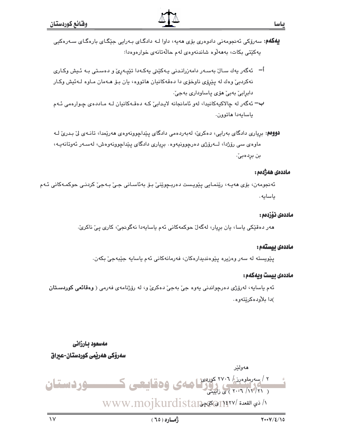**یهگهم**: سەرۆکى ئەنجومەنى دادوەرى بۆى ھەيە، داوا لـە دادگـاى بـەرايى جێگـاى بارەگـاى سـەرەكيى يەكێتى بكات، بەھەلوە شاندنەوەي لەم حالەتانەي خوارەوەدا:

- اً<del>-</del> ئەگەر يەك سـالٌ بەسـەر دامەزرانـدنى يـەكێتى يەكـەدا تێپـەرِێ و دەسـتى بـە ئـيش وكـارى نهکردبیٌ وهك له پیُروی ناوخوی دا دهقهکانیان هاتووه، یان بو ههمان ماوه لـهئیش وكـار دابرابي' بهبي' هوي پاساوداري بهجي'.
- ب– ئەگەر لە چالاكيەكانيدا، لەو ئامانجانە لايدابىؒ كـە دەقـەكانيان لـە مـاددەی چـوارەمى ئـەم ياسايەدا ھاتوون.
- **دوومم:** برياري دادگاي بهرايي، دهکري، لهېهردهمي دادگاي پێداچوونهوهي ههرێمدا، تانـهي ليّ بـدريّ لـه ماوەي سى رۆژدا، لـــەرۆژى دەرچوونيەوە. بريارى دادگاى يێداچوونەوەش، لەســەر ئەوتانەپــە، بن بردهبيٚ.

#### ماددەى ھەژدەم :

ئەنجومەن، بۆی ھەپـە، رێنمـايي پێوپـست دەربـچوێنیٚ بـۆ بەئاسـانی جـیٚ بـەجیٚ کردنـی حوکمـەکانی ئـەم ياسايه.

#### ماددەى ئۆزدەم :

هەر دەقێكى ياسا، يان بريار، لەگەلٚ حوكمەكانى ئەم ياسايەدا نەگونجىٚ، كارى يىٚ ناكرىٚ٠

#### ماددەى بيستەم:

پێويسته له سهر وهزيره پێوهندپدارهکان، فهرمانهکاني ئهم پاساپه جێبهجيٚ بکهن.

#### ماددهى بيست ويهكهم:

ئهم ياسايه، لهرۆژی دەرچواندنی يەوە جیّ بەجیّ دەکریّ و، له رۆژنامەی فەرمی ( **وەقائعی کوردسـتان** )دا بلأودهكرێتهوه.

مەسعود بارزانى سەرۆكى ھەرپمى كوردستان-عبراق هەولێر ۲ / سەرملوموز / ۲۷۰٦ كوروئ | مىلەك و تىقايىسى كى وددستان WWW.mojkurdistan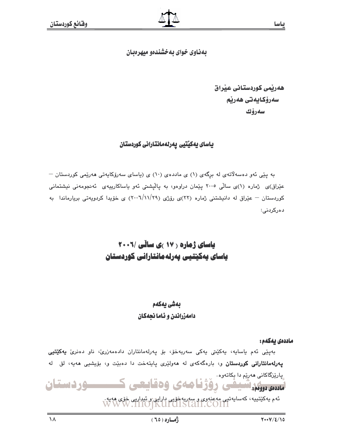ھەرپمى كوردستانى عيراق سەرۆكايەتى ھەرپم سەرۆك

## ياساى يەكينيى يەرلەمانتارانى كوردستان

به پێی ئەو دەسەلاتەی لە برگەی (۱) ی ماددەی (۱۰) ی (یاسای سەرۆکايەتی ھەرێمی کوردستان — عیّراق)ی ژماره (۱)ی سالّی ۲۰۰۵ ییّمان دراوهو، به یالیشتی ئهو یاساکارییهی ئهنجومهنی نیشتمانی کوردستان – عێراق له دانیشتنی ژماره (۲۲)ی رۆژی (۲۹/۱۱/۲۹) ی خۆیدا کردویهتی بریارماندا به دەركردنى:

# بیاسای ژهاره ( ۱۷ )ی سالّی /۲۰۰۲ یاسای پهکیتیی پهرلههانتارانی کوردستان

# بەشى يەكەم دامهزراندن و ئاما نجهکان

#### ماددەى ئەكەم:

بەپێى ئەم ياسايە، يەكێتى يەكى سەربەخۆ، بۆ پەرلەمانتاران دادەمەزرىؒ، ناو دەنرى**ؒ يەكێتيى یهرلهمانتارانی کوردستان** و، بارهگهکهی له ههولێری پایتهخت دا دهبێت و، بۆیشیی ههیه، لق له يارێزگاکانی هەرێم دا بکاتەوە٠ ــــودستان

# <u> مسومرشیدی رؤژنامهی وهقایعی ک</u>

ئەم يەكێتىيە، كەسايەتىي مەعنەوي و سەريەخۆيى دارايى و ئىدارىي خۆي ھەيە.<br>W W W . IIIO]KUFUISTAN.COIII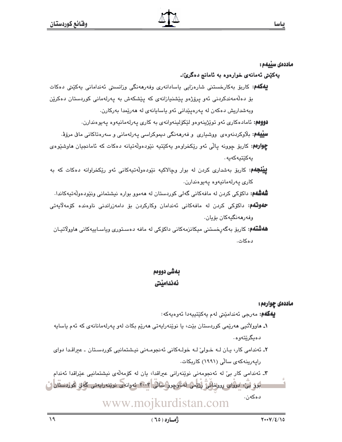ماددەى سۆيەم :

#### يەكێتى ئەمانەي خوارەوە بە ئامانج دەگرىٰ:۔

**ليەگەم:** كاربۆ بەكارخستنى شارەزايى ياسادانەرى وفەرھەنگى وزانسىتى ئەندامانى يەكێتى دەكات بۆ دەلەمەندكردنى ئەو پرۆژەو پێشنيازانەى كە پێشكەش بە پەرلەمانى كوردستان دەكرێن ويەشداريش دەكەن لە پەرەپێدانى ئەو پاساپانەي لە ھەرێمدا بەركارن. **دووهم:** ئامادهکاري ئەو توپژينەوەو لێکۆلينەوانەي بە کارى پەرلەمانيەوە پەيوەندارن. **سیبیهم:** بلاوکردنهوهی ووشیاری و فهرههنگی دیموکراسی پهرلهمانی و سهرهتاکانی مافی مروّڤ **چوارهم:** کاربۆ چوونه يالّی ئەو رێِکخراوەو يەکێتيە نێودەولّەتيانە دەکات کە ئامانجيان ھاوشێوەی بەكێتپەكەپە. **پينجهم**: کاربۆ بەشداری کردن له بوار وچالاکیه نێودەوڵەتپەکانی ئەو رێکخراوانه دەکات کە بە كارى پەرلەمانيەوە پەيوەندارن. **شُهشهم:** داکۆکی کردن له مافهکانی گهلی کوردستان له ههموو بواره نیشتمانی ونێودهوڵهتیهکاندا. **حموثـُهم:** داكۆكى كردن له مافەكانى ئەندامان وكاركردن بۆ دامەزراندنى ناوەندە كۆمەلايەتى وفەرھەنگيەكان بۆيان.

**شلقام:** کاربۆ بەگەرخستنى میکانزمەکانى داكۆکى لە مافە دەسـتورى وياسـاييەکانى **م**اوولاتيـان دەكات.

# بەشى دووەم ئەندامنت

ماددهي چوارهم:

**يەگەم:** مەرجى ئەندامێتى لەم پەكێتىپەدا ئەوەپەكە:

۱ـ هاوولاُتيي هەرێمی کوردستان بێت، یا نوێنەرایەتی هەرێم بکات لەو پەرلەمانانەی کە ئەم یاسایە دەيگرێتەوە.

٢ـ ئەندامى كار، يان لـه خـولى لـه خولـهكانى ئەنجومـەنى نيـشتمانيى كوردسـتان ـ عيراقـدا دواى راپەرىنەكەي سالّى (١٩٩١) كاربكات.

۳ـ ئەندامى كار بى لە ئەنجومەنى نوينەرانى عىراقدا، يان لە كۆمەلەي نېشتمانيى عيراقدا ئەندام لِبُودِ لِیْنٌ 'دِوْای پِرِرِدَائِیْ لِّرْیِمِی لَه نِاوجِرِدِ سَالِی ۲۰۰۴ نَهوانهی نوینه رایه تی گول گولایستان ن دەكەن.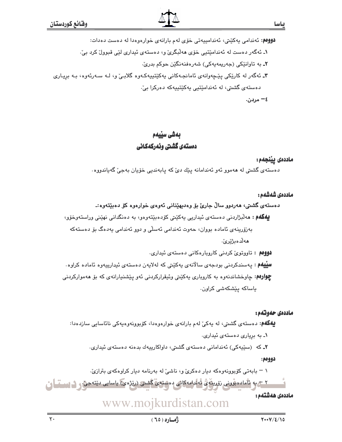دووهم: ئەندامى پەكێتى، ئەندامىيەتى خۆى لەم بارانەي خوارەوەدا لە دەست دەدات:

۱ـ ئەگەر دەست لە ئەندامێتيى خۆى ھەلّبگرىّ و، دەستەى ئيدارى لێى قبوولٌ كرد بيّ.

- ۲ـ به تاوانێکی (جەریمەیەکی) شەرەفنەنگێن حوکم بدریّ.
- ۳ـ ئەگەر لە كارێكى يێڃەوانەي ئامانجەكانى يەكێتييەكەوە گلابـىٚ و، لـە سـەرئەوە، بـە بريـارى دەستەي گشتى، لە ئەندامێتىي پەكێتپپەكە دەركرا بىٚ.

٤— مردن.

# بەشى سۆيەم دەستەي گشتى وئەركەكانى

#### ماددەى يېنجەم:

باسا

دهستهي گشتي له ههموو ئهو ئهندامانه پێك ديّ كه پابهنديي خۆپان بهجيّ گهپاندووه٠

#### ماددەى شەشەم :

#### دەستەي گشتى، ھەردوو سالْ جارئ بۆ وەدىھێنانى ئەوەي خوارەوە كۆ دەبێتەوە ـ

**ليهگهم : م**ەلْبژاردنى دەستەي ئىدارىي يەكێتى كۆدەبێتەوەو، بە دەنگدانى نهێنى وراستەوخۆو، بەزۆرينەي ئامادە بووان، چەوت ئەندامى ئەسلى و دوو ئەندامى يەدەگ بۆ دەستەكە مەلدەبژێرێ.

دووهم : تاووتوی کردنی کاروبارهکانی دهستهی ئیداری.

**سِيْيهُم:** پهسندکردنی بودجهی سالانهی پهکێتی که لهلایهن دهستهی ئیدارییهوه ئاماده کراوه. **چوارهم:** چاوخشاندنهوه به کاروباری بهکێتی وئیقرارکردنی ئهو پێشنبارانهی که بۆ مەموارکردنی ياساكه يێشكەشى كراون.

#### ماددەى حەوتەم:

**لیهگهم:** دهستهی گشتی، له یهکیّ لهم بارانهی خوارهوهدا، کۆبوونهوهیهکی نائاسایی سازدهدا: ۱ـ به برياري دهستهي ئيداري.

۲ـ که (سێپهکی) ئەندامانی دەستەی گشتی، داواکاریپەك بدەنە دەستەی ئیداری.

دوومم:

١ – بابهتی کوبوونهوهکه دیار دهکری و، ناشی له بهرنامه دیار کراوهکهی بترازی.

<u>٢ + پِهِ تَأْمَادِ، فِرْدِينَ يُّ ثَامِدُامِهِ كَانِي دِمِسْتَائِ گَشْتِي (ريْرْمِي) ياسايي دينتهجڻ و هه استقا</mark>مي</u>

#### ماددەى ھەشتەم: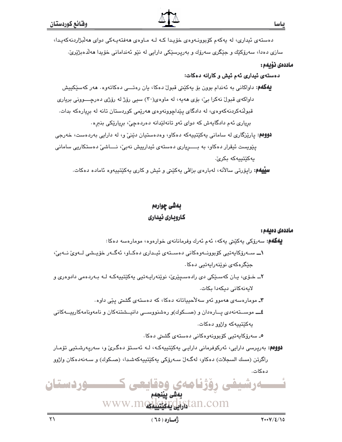#### ماددەى نۆىمە:

#### دهستهي ئيداري ئهم ئيش و كارانه دهكات:

**پهگهم:** داواکانی به ئەندام بوون بۆ پەکێتی قبول ٘دەکا، يان رەتـــی دەکاتەوە. ھەر کەسێکییش داواکهي قبول نهکرا بي، بوّي ههيه، له ماوهي(٣٠) سڀي روِّژ له روِّژي دهرچــــووني برياري قبولنهکردنهکهوهی، له دادگای پێداچوونهوهی ههرێمی کوردستان تانه له برپارهکه بدات. برياري ئهم دادگايهش که دواي ئهو تانهلێدانه دهردهچيّ، بريارێکي بنبره.

**دوومم:** پارێزگاری له سامانی پهکێتپیهکه دهکاو، وهدهستیان دێنیٚ و، له دارایی بهردهست، خهرجی پێویست ئیقرار دهکاو، به بـــــرِیاری دهستهی ئیدارییش نهبیّ، نــــاشیّ دهستکاریی سامانی يەكێتىيەكە بكرىٰ.

**سينيهم:** رايۆرتى سالآنە، لەبارەي بزاڤى يەكێتى و ئيش و كارى يەكێتيپەوە ئامادە دەكات.

# بەشى چوارەم كاروباري ئيداري

#### ماددەى دەئەم :

**يەگەم**: سەرۆكى پەكێتى پەكە، ئەم ئەرك وفرمانانەي خوارەوە، مومارەسە دەكا:

- (۔ ســەرۆكاپەتيى كۆبوونــەوەكانى دەســتەي ئېــدارى دەكــاو، ئەگــەر خۆپـىشى لــەوئ نــەبى، حٽگر ەكەي نوٽنەراپەتتى دەكا.
- **٢ــ** خـۆی، يـان كەسـێكى دى رادەسـيێرێ، نوێنەراپـﻪتيى پەكێتيبەكـﻪ ﻟـﻪ بـﻪردەمى دادوەرى و لايەنەكانى ديكەدا بكات.

۳ـ مومارهسهی ههموو ئهو سهلاٌحییاتانه دهکا، که دهستهی گشتی پێی داوه٠

**٤\_\_** موســـڌەنەدى پـــارەدان و (صـــكوك)و رەشنووســـى دانيـــشتنەكان و نامەونامەكارييـــەكانى بەكٽتىيەكە وإژوو دەكات.

٥ـ سەرۆكاپەتيى كۆبورنەرەكانى دەستەي گشتى دەكا.

**دوومم:** بەرپرسى دارايى، ئەركوفرمانى دارايى يەكێتيپەكە، كە ئەستۆ دەگرىّ و، سەرپەرشتيى تۆمـار راگرتن (مسك السجلات) دهكاو، لهگـهانّ سـهرۆكى يەكێتيپەكەشـدا، (صـكوك) و سـهنەدەكان واژوو دەكات.

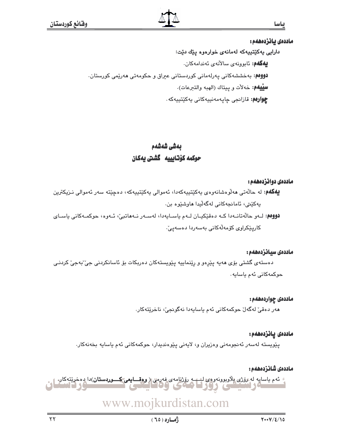#### ماددەى يانزدەھەم:

دارايي پهکێتپيهکه لهمانهي خوارهوه پێك دێت: **يەگەم:** ئابوونەي سالأنەي ئەندامەكان. **دوومم:** بەخششەكانى پەرلەمانى كوردستانى عیراق و حكومەتى ھەرێمى كورستان. **سِيْيهُم:** خەلأت و پيتاك (الهبه والتبرعات). **چوارەم:** قازانجى چاپەمەنپيەكانى يەكێتپيەكە .

# بەشى شەشەم حوكمه كۆتايييە گشتى يەكان

#### ماددەى دوائزدەھەم :

**يەكەم**: لە حالەتى مەلرەشانەرەي پەكێتپپەكەدا، ئەموالى پەكێتپپەكە، دەچێتە سەر ئەموالى نـزيكترين يەكێتى، ئامانجەكانى لەگەلىدا ھاوشێوە بن.

**دوومم:** لـهو حالّهتانـهدا كـه دهقێكيـان لـهم ياسـايهدا، لهسـهر نـههاتبيّ، ئـهوه، حوكمـهكاني ياسـاي كاريێِكراوی كۆمەڵەكانى بەسەردا دەسەپىٚ.

#### ماددەى سيانزدەھەم :

دەستەي گشتى بۆي ھەيە پێرەو و رێنماييە پێويستەكان دەربكات بۆ ئاسانكردنى جێ<sup>،</sup>بەجێ كردنـي حوكمەكانى ئەم ياسايە.

#### ماددەى چواردەھەم :

مەر دەقىٚ لەگەلٚ حوكمەكانى ئەم ياسايەدا نەگونجىٚ، ناخرێتەكار.

#### ماددەى يانزدەھەم:

پێویسته لەسەر ئەنجومەنى وەزیران و، لایەنى پێوەندیدار، حوکمەکانى ئەم یاسایە بخەنەکار.

#### ماددەى شانزدەھەم:

ءِ ئهم ياسايه له برۆژې پلاوبوونهو<u>ه په په دو زنا</u>مه ي فهرمتي ( **ووق ايعي کـــوردستان**)دا دهخريتهکار. 101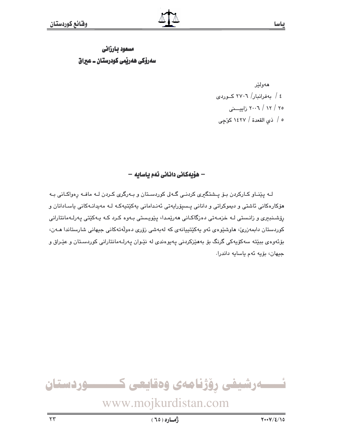مسعود بارزاني سەرۆكى ھەرپمى كودرستان ــ عبراق

> هەولێر ٤ / بەفرانبار/ ٢٧٠٦ كوردى ٢٠٠٦ / ٢٠٠٦ زاييىنى ٥ / ذي القعدة / ١٤٢٧ كوّجي

#### — هۆيەكانى دانانى ئەم ياسايە —

لـه پێنـاو کـارکردن بـۆ پـشتگیری کردنـی گـهلی کوردسـتان و بـهرگری کـردن لـه مافـه رهواکـانی بـه مۆکارەکانی ئاشتی و دیموکراتی و دانانی پـسپۆرايەتی ئەنـدامانی پەکێتپەکـﻪ ﻟـﻪ ﻣﻪﭘﺪاﻧـﻪﻛﺎﻧﻰ ﭘﺎﺳـﺎدانان و رۆشىنېيرى و زانىستى لـﻪ خزمـﻪتى دەزگاكـانى ھەرێمـدا، پێويـستى بـﻪوە كـرد كـﻪ پـﻪكێتى پەرلـﻪمانتارانى کوردستان دابمەزری، هاوشیوەی ئەو پەکپتیپانەی کە لەبەشى زۆرى دەولەتەکانى جیهانى شارستاندا ھـەن، بۆئەوەي بېيتە سەكۆپەكى گرنگ بۆ بەھێزكردنى پەيوەندى لە نێوان پەرلـەمانتارانى كوردسىتان و عێراق و جيهان، بۆيە ئەم ياسايە داندرا.

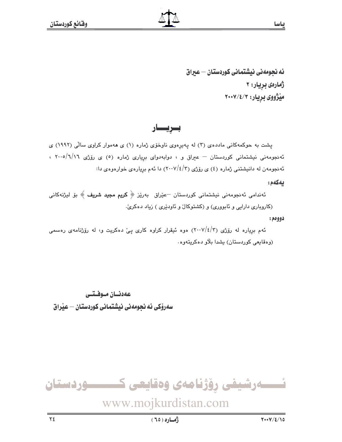ئه نجومهنی نیشتمانی کوردستان — عیراق ژمارەى بريار: ۲ میژووی بریار: ۲۰۰۷/٤/۲

بصريستار

یشت به حوکمهکانی ماددهی (۳) له یهیرهوی ناوخوی ژماره (۱) ی ههموار کراوی سالی (۱۹۹۲) ی ئەنجومەنى نيشتمانى كوردستان – عيراق و ، دوابەدواى بريارى ژمارە (٥) ى رۆژى ٢٠٠٥/٦/١٦ ، ئه نجومه ن له دانیشتنی ژماره (٤) ی رۆژی (٢/٤/٢) دا ئهم بریارهی خوارهوهی دا:

ىەكەم:

ئەندامى ئەنجومەنى نيشتمانى كوردستان <sup>—</sup>عێراق بەرێز ﴿ **كريم مجيد شريف** ﴾ بۆ ليژنەكانى (کاروباری دارایی و ئابووری) و (کشتوکال و ئاودیری ) زیاد دهکریّ.

دوومم:

ئهم بریاره له رۆژی (۲۰۰۷/٤/۳) هوه ئیقرار کراوه کاری پیّ دهکریت و، له رۆژنامهی رهسمی (وەقايعى كوردستان) يشدا بلاو دەكريتەوە.

عەدنسان مىوفىتىي سەرۆكى ئە نحومەنى نيشتمانى كوردستان – عيراق

ئــــــەرشيفى رۆژنامەى وەقايعى ك ـــــوردستان

www.mojkurdistan.com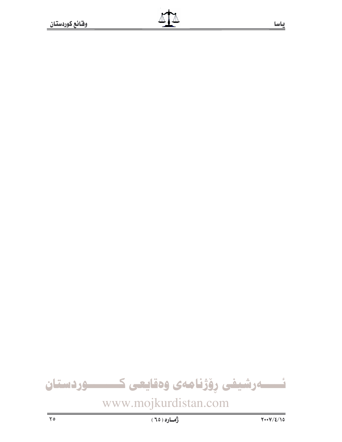









# www.mojkurdistan.com

 $\mathbf{y}$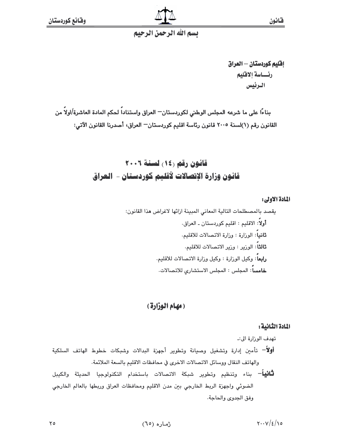قانون

# بسم الله الرحمن الرحيم

إفليم كوردستان — العراق رئساسة إلاقليم الرئيس

بناءًا على ما شرعه المجلس الوطني لكوردستان— العراق واستناداً لحكم المادة العاشرة/اولاً من القانون رقم (١)لسنة ٢٠٠٥ قانون رئاسة اقليم كوردستان— العراق، أصدرنا القانون الآتي:

# قانون رقم (١٤) لسنة ٢٠٠٦ قانون وزارة الإتصالات لأقليم كوردستان - العراق

المادة الأولى:

يقصد بالمصطلحات التالية المعانى المبينة ازائها لاغراض هذا القانون: **أولاً**: الاقليم : اقليم كوردستان ـ العراق· **ثانياً**: الوزارة : وزارة الاتصالات للاقليم. ثالثاً: الورير : ورير الاتصالات للاقليم. **رابعاً**: وكيل الوزارة : وكيل وزارة الاتصالات للاقليم. <mark>خامساً</mark>: المجلس : المجلس الاستشارى للاتصالات.

# (مهام الوزارة)

#### المادة الثانية :

تهدف الوزارة الى:۔ أولاًّا – تأمين إدارة وتشغيل وصيانة وتطوير أجهزة البدالات وشبكات خطوط الهاتف السلكية والهاتف النقال ووسائل الاتصالات الاخرى في محافظات الاقليم بالسعة الملائمة. **ثَـَّاثِياً**— بناء وتنظيم وتطوير شبكة الاتصالات باستخدام التكنولوجيا الحديثة والكيبل الضوئي واجهزة الربط الخارجي بين مدن الاقليم ومحافظات العراق وربطها بالعالم الخارجي

وفق الجدوى والحاجة.

 $\mathsf{Y}\circ$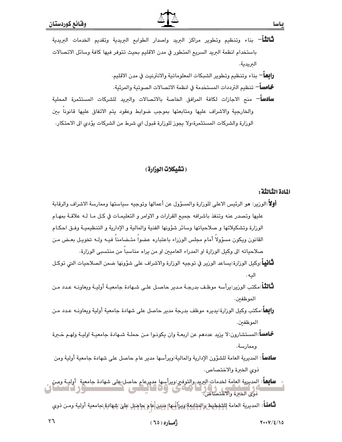**ثَّالثَّا**َّ بناء وتنظيم وتطوير مراكز البريد واصدار الطوابع البريدية وتقديم الخدمات البريدية باستخدام انظمة البريد السريع المتطور في مدن الاقليم بحيث تتوفر فيها كافة وسائل الاتصالات البريدية.

**رابعا**— بناء وتنظيم وتطوير الشبكات المعلوماتية والانترنيت في مدن الاقليم.

**خُـامسـا –** تنظيم الترددات المستخدمة في انظمة الاتصالات الصوتية والمرئية.

**سادساً** منح الاجازات لكافة المرافق الخاصة بالاتصالات والىريد للشركات المستثمرة المحلية والخارجية والاشراف عليها ومتابعتها بموجب ضوابط وعقود يتم الاتفاق عليها قانونا بين الوزارة والشركات المستثمرة،ولا يجوز للوزارة قبول اي شرط من الشركات يؤدي الى الاحتكار.

#### (تشبكلات الوزارة)

اللادة الثالثة :

باسا

- أولا:الوزير: هو الرئيس الاعلى للوزارة والمسؤول عن أعمالها وتوجيه سياستها وممارسة الاشراف والرقابة عليها وتصدر عنه وتنفذ باشرافه جميع القرارات و الاوامر و التعليمـات في كـل مـا لـه علاقـة بمهـام الوزارة وتشكيلاتها و صلاحياتها وسائر شؤونها الفنية والمالية و الإدارية و التنظيميـة وفـق احكـام القانون ويكون مسؤولا أمام مجلس الوزراء باعتباره عضوا متـضامنا فيـه ولـه تخويـل بعـض مـن صلاحياته الى وكيل الوزارة او المدراء العاميين او من يراه مناسبا من منتسبى الوزارة.
- **ثَّالَيْهَ**اً:وكيل الورارة:يساعد الورير في توجيه الورارة والاشراف على شؤونها ضمن الصلاحيات التي توكـل اليه .
- **ثَـَّالثَـَّا**َ:مكتب الوزير:برأسه موظـف بدرجـة مـدير حاصـل علـى شـهادة جامعيـة أوليـة ويعاونـه عـدد مـن الموظفين.
- **رابعاً**:مكتب وكيل الورارة:يديره موظف بدرجة مدير حاصل على شهادة جامعية أولية ويعاونـه عـدد مـن الموظفين.
- **ثماساً**:المستشارون:لا يزيد عددهم عن اربعـة وان يكونـوا مـن حملـة شـهادة جامعيـة اوليـة ولهـم خـبرة وممارسة.
- **سادساً**: المدبرية العامة للشؤون الإدارية والمالية:ويرأسها مدبر عام حاصل على شهادة جامعية أولية ومن ذوى الخبرة والاختصاص.
- 

**لثَّامناً**: المديرية العامة للتخطيط)والمتابعة:ويرأسها مدير عام حاصل جلى شهادة حامعية أولية ومـن ذوي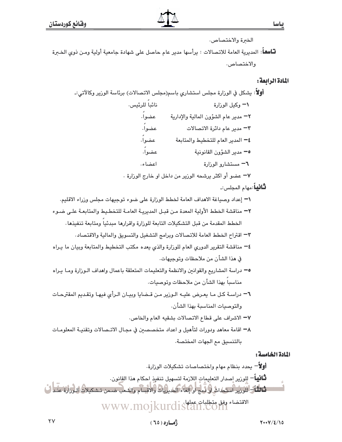الخبرة والاختصاص.

للّـاللهــا: المديرية العامة للاتصالات : يرأسها مدير عام حاصل على شهادة جامعية أولية ومـن ذوى الخـبرة والاختصاص.

#### المادة الرائعة:

أَوْلاً: يشكل في الوزارة مجلس استشاري باسم(مجلس الاتصالات) برئاسة الوزير وكالآتي:ـ

| 1- وكيل الوزارة                      | نائباً للرئيس. |
|--------------------------------------|----------------|
| ٢- مدير عام الشؤون المالية والإدارية | عضواً.         |
| ٣– مدير عام دائرة الاتصالات          | عضوا.          |
| ٤- المدير العام للتخطيط والمتابعة    | عضواً.         |
| 0- مدير الشؤون القانونية             | عضواً.         |
| $\mathbf{r}$ مستشارو الوزارة         | اعضاء.         |
|                                      |                |

٧– عضو أو اكثر يرشحه الوزير من داخل او خارج الوزارة .

#### **ثَـانياً**:مهام المجلس:۔

- \= إعداد وصباغة الاهداف العامة لخطط الوزارة على ضوء توجيهات مجلس وزراء الاقليم.
- ٢– مناقشة الخطط الأولية المعدة من قبـل المديريـة العامـة للتخطـيط والمتابعـة علـى ضـوء الخطط المقدمة من قبل التشكيلات التابعة للوزارة واقرارها مبدئيا ومتابعة تنفيذها.
	- ٣– اقتراح الخطط العامة للاتصالات وبرامج التشغيل والتسويق والمالية والاقتصاد.
- ٤– مناقشة التقرير الدورى العام للوزارة والذى يعده مكتب التخطيط والمتابعة وبيان ما يراه في هذا الشأن من ملاحظات وتوجيهات.
- 0– دراسة المشاريع والقوانين والانظمة والتعليمات المتعلقة باعمال واهداف الـوزارة ومـا يـراه مناسبا بهذا الشأن من ملاحظات وتوصيات.
- ٦- دراسة كل ما يعرض عليـه الـوزير مـن قـضايا وبيـان الـرأى فيهـا وتقديم المقترحـات والتوصيات المناسبة بهذا الشأن.
	- ▼− الاشراف على قطاع الاتصالات بشقيه العام والخاص.
- ٨− اقامة معاهد ودورات لتأهيل و اعداد متخصصين في مجـال الاتــصالات وتقنيـة المعلومـات بالتنسيق مع الجهات المختصة.

#### المادة الخامسة :

 $\mathsf{Y}\mathsf{V}$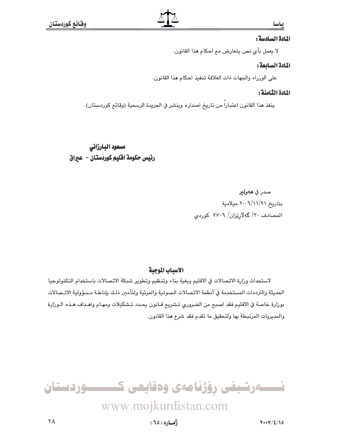#### ياسا

#### المادة السادسة:

لا يعمل بأي نص يتعارض مع احكام هذا القانون.

#### المادة السائعة:

على الوزراء والجهات ذات العلاقة تنفيذ احكام هذا القانون.

#### المادة الثامنة :

ينفذ هذا القانون اعتباراً من تاريخ اصداره وينشر في الجريدة الرسمية (وقائع كوردستان).

# مسعود البارزانى رئيس حكومة افليم كوردستان - عيراق

# صدر في هەولىر بتاريخ ٢٠٠٦/١١/٢١ ميلادية المصادف ٣٠/ گهلاريزان/ ٢٧٠٦ كوردي

#### الاسباب الموجبة

لاستحداث وزارة الاتصالات في الاقليم وبغية بناء وتنظيم وتطوير شبكة الاتصالات باستخدام التكنولوجيا الحديثة والترددات المستخدمة في أنظمة الاتصالات الصوتية والمرئية ولتأمين ذلك بإناطـة مـسؤولية الاتــصالات بوزارة خاصة في الاقليم فقد اصبح من الضروري تـشريع قـانون يحـدد تـشكيلات ومهـام واهـداف هـذه الـوزارة والمديريات المرتبطة بها ولتحقيق ما تقدم فقد شرع هذا القانون.

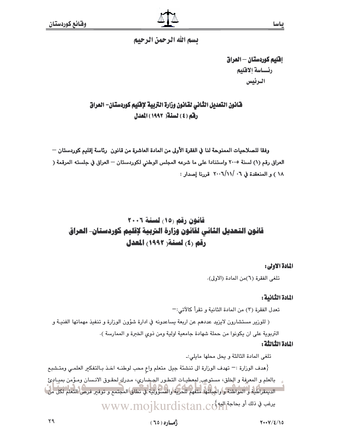# يسم الله الرحمن الرحيم

إفليم كوردستان — العراق رئـــاسة إلاقليم الرئيس

## هَّانُونَ التَّعْدِيلِ الثَّاني لقَّانُونَ وزارة التَّرْبِيةُ لإهْلِيم كوردستَّان- العراق رفق (٤) لسنة( ١٩٩٢) المدل

وفقا للصلاحيات الممنوحة لنا في الفقرة الأولى من المادة العاشرة من قانون رئاسة إقليم كوردستان — العراق رقم (١) لسنة ٢٠٠٥ واستنادا على ما شرعه المجلس الوطني لكوردستان — العراق في جلسته المرقمة ( ١٨ ) و المنعقدة في ٦٠ /١١/١٦ قررنا إصدار :

# قانون رقم (١٥) لسنة ٢٠٠٦ قانون التعديل الثاني لقانون وزارة التربية لإقليم كوردستان– العراق رقم (٤) لسنة( ١٩٩٢) المحدل

#### المادة الأولى:

تلغي الفقرة (٦)من المادة (الأولى).

#### المادة الثانية:

تعدل الفقرة (٣) من المادة الثانية و تقرأ كالآتي: -

( للوزير مستشارون لايزيد عددهم عن اربعة يساعدونه في ادارة شؤون الوزارة و تنفيذ مهماتها الفنيـة و

التربوية على ان يكونوا من حملة شهادة جامعية اولية ومن ذوى الخبرة و الممارسة ).

#### اللادة الثالثة :

تلغى المادة الثالثة و يحل محلها مايلي:-

{هدف الوزارة :— تهدف الوزارة الى تنشئة جيل متعلم واعٍ محب لوطنـه اخـذ بـالتفكير العلمـي ومتـشبع

بالعلم و المعرفة و الخلق، مستوعب لمعطيـات التطـور الچـضاري، مـدرك لحقـوق الانـسان ومـؤمن بمبـاديئ الديمقراطية و المواطنة و واجباتها متفهم للحرية والمسؤولية في نطاق المجتمع و توفير فرص التعلم لكل من www.mojkurdistan.co+إليه www.mojkurdistan.co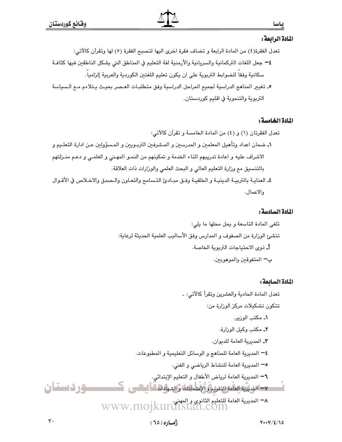#### المادة الرابعة :

<mark>یـاسا</mark>

تعدل الفقرة(٤) من المادة الرابعة و تضاف فقرة اخرى اليها لتصبح الفقرة (٥) لها وتقرآن كالآتي:

- ٤— جعل اللغات التركمانية والسريانية والأرمنية لغة التعليم في المناطق التي يشكل الناطقين فيها كثافـة سكانية وفقاً للضوابط التربوية على ان يكون تعليم اللغتين الكوردية والعربية إلزامياً.
- 0ـ تغيير المناهج الدراسية لجميع المراحل الدراسية وفق متطلبـات العـصر بحيـث يـتلاءم مـع الـسياسة التربوية والتنموية في اقليم كوردستان.

#### المادة الخامسة:

تعدل الفقرتان (١) و (٤) من المادة الخامسة و تقرآن كالآتي:

- ٦ـ ضمان اعداد وتأهيل المعلمين و المدرسين و المـشرفين التربـويين و المـسؤولين عـن ادارة التعلـيم و الاشراف عليه و اعادة تدريبهم اثناء الخدمة و تمكينهم من النمـو المهـني و العلمـي و دعـم منـزلتهم بالتنسيق مع وزارة التعليم العالي و البحث العلمي والوزارات ذات العلاقة.
- ٤ـ العنايـة بالتربيـة الدينيـة و الخلقيـة وفـق مبـادئ التـسامح والتعـاون والـصدق والاخـلاص في الأقـوال والاعمال.

#### المادة السادسة:

تلغى المادة التاسعة و يحل محلها ما يلي: تنشئ الوزارة من الصفوف و المدارس وفق الأساليب العلمية الحديثة لرعاية: أ ـ ذوى الاحتياجات التربوية الخاصة. ب– المتفوقين والموهوبين.

#### المادة السابعة :

تعدل المادة الحادية والعشرين وتقرأ كالآتي: ـ تتكون تشكيلات مركز الوزارة من: ٦ـ مكتب الوزير. ٢ـ مكتب وكيل الوزارة. ٣ـ المديرية العامة للديوان. ٤– المديرية العامة للمناهج و الوسائل التعليمية و المطبوعات. 0– المديرية العامة للنشاط الرياضي و الفني. ٦- المديرية العامة لرياض الأطفال و التعليم الإبتدائي. وردستان ٧− الفِدلِيَّنِيَّة العامةِ للتقويمِ وَالْإِمْتِلْمَائِنَاتُ وَالشهاداتِ شَا أَسْكَرَ ٨- المديرية العامة للتعليم الثانوي و المهنى. www.moikurd istan.com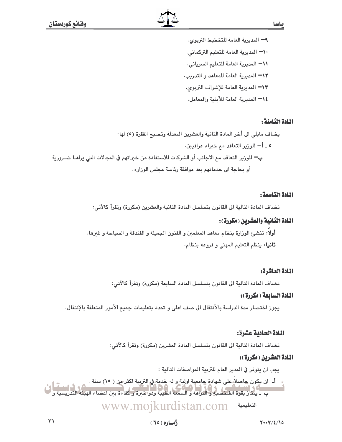- ٩– المديرية العامة للتخطيط التربوي. ∙١− المديرية العامة للتعليم التركماني.
- 11– المديرية العامة للتعليم السرياني.
- ١٢– المديرية العامة للمعاهد و التدريب.
- 1٣– المديرية العامة للإشراف التربوي.
- ١٤– المديرية العامة للأبنية والمعامل.

## المادة الثامنة :

يضاف مايلي الى أخر المادة الثانية والعشرين المعدلة وتصبح الفقرة (٥) لها: ٥ ـ أ− للورير التعاقد مم خبراء عراقيين. ب= للورير التعاقد مع الاجانب أو الشركات للاستفادة من خبراتهم في المجالات التي يراهـا ضـرورية أو بحاجة الى خدماتهم بعد موافقة رئاسة مجلس الوزارء.

#### المادة التاسمة :

تضاف المادة التالية الى القانون بتسلسل المادة الثانية والعشرين (مكررة) وتقرأ كالآتي:

#### المادة الثانية والعشرين (مكررة):

أولا: تنشئ الوزارة بنظام معاهد المعلمين و الفنون الجميلة و الفندقة و السياحة و غيرها . **ثانيا:** ينظم التعليم المهنى و فروعه بنظام.

#### المادة العاشرة:

تضاف المادة التالية الى القانون بتسلسل المادة السابعة (مكررة) وتقرأ كالآتي:

#### المادة السابعة (مكررة):

يجوز اختصار مدة الدراسة بالأنتقال الى صف اعلى و تحدد بتعليمات جميع الأمور المتعلقة بالإنتقال.

#### المادة الحادية عشرة:

تضاف المادة التالية الى القانون بتسلسل المادة العشرين (مكررة) وتقرأ كالآتي:

#### المادة العشرين (مكررة):

يجب ان يتوفر في المدير العام للتربية المواصفات التالية : للتعليمية · www.mojkurdistan.com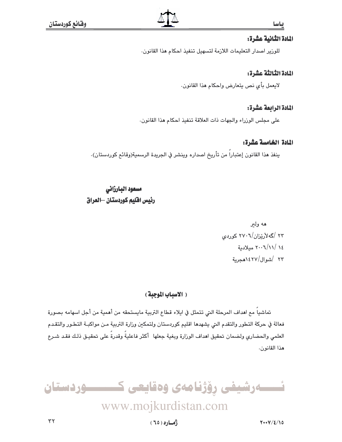#### المادة الثانية عشرة:

للورير اصدار التعليمات اللازمة لتسهيل تنفيذ احكام هذا القانون.

#### المادة الثالثة عشرة:

لايعمل بأي نص يتعارض واحكام هذا القانون.

#### المادة الرابعة عشرة:

على مجلس الوزراء والجهات ذات العلاقة تنفيذ احكام هذا القانون.

#### المادة الخامسة عشرة:

ينفذ هذا القانون إعتباراً من تأريخ اصداره وينشر في الجريدة الرسمية(وقائع كوردستان).

# مسعود البارزاني رئيس افليم كوردستان —العراق

هه ولير ۲۳ /گهلاریزان/۲۷۰٦ کوردی ١٤ /١١/ ٢٠٠٦ ميلادية ٢٣ /شوال/٤٢٧هجرية

#### ( الاسباب الموجبة)

تماشياً مم اهداف المرحلة التي تتمثل في ايلاء قطاع التربية مايستحقه من أهمية من أجل اسهامه بصورة فعالة في حركة التطور والتقدم التي يشهدها اقليم كوردستان ولتمكين وزارة التربية مـن مواكبـة التطـور والتقـدم العلمى والحضارى ولضمان تحقيق اهداف الوزارة وبغية جعلها ۖ أكثر فاعليةً وقدرةً على تحقيـق ذلـك فقـد شـرع هذا القانون.



 $\tau\tau$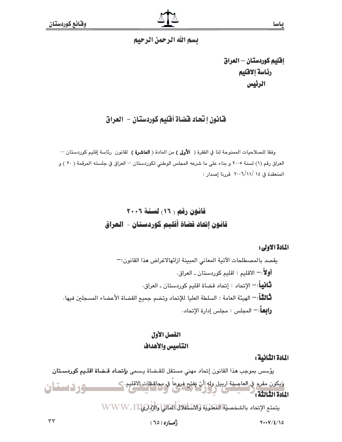## يسم الله الرحمن الرحيم

إفليم كوردستان - العراق رئاسة إلاقليم الرئيس

## قانون إ تحاد فضاة أقليم كوردستان – العراق

وفقا للصلاحيات الممنوحة لنا في الفقرة ( الأولى ) من المادة ( ا**لعاشرة** ) لقانون رئاسة إقليم كوردستان <sup>—</sup> العراق رقم (١) لسنة ٢٠٠٥ و بناء على ما شرعه المجلس الوطني لكوردستان — العراق في جلسته المرقمة ( ٢٠ ) و المنعقدة في ١٤ /١٦/١٦ قررنا إصدار :

# قانون رقم ( ١٦) لسنة ٢٠٠٦ قانون إتحاد قضاة أقليم كوردستان - العراق

#### المادة الأولى:

يقصد بالمصطلحات الآتية المعاني المبينة ازائهالاغراض هذا القانون:— أولاً:— الاقليم : اقليم كوردستان ـ العراق. **ثَـَّانيباً** :— الإتحاد : إتحاد قضاة اقليم كوردستان ـ العراق. **ثَـالثـَّا**ً:— الهيئة العامة : السلطة العليا للإتحاد وتضم جميع القضاة الأعضاء المسجلين فيها. **رانعاً**: <del>–</del> المجلس : محلس إدارة الإتحاد.

# القصل الأول التأسيس والأهداف

#### المادة الثانية :

يؤسس بموجب هذا القانون إتحاد مهنى مستقل للقـضاة يـسمى ب**إتحـاد قـضاة اقلـيم كوردسـتان** وَيكون مقره في العاصية اربيل وله أنّ يفتح فروعا في محافظات الاقليم. كان المستقبل التي تعليم التي تعليم التي ال<br>المستقبل المستقبل التي التي التي تحت التي تحت التي تحت المستقبل المستقبل التي تعليم التي تحت التي تحت التي توق ובונג ועותר

يتمتع الإتحاد بالشخصية اللعنوية والاشتقلال السالل والإداري11 . WWW

ثماره ( ٦٥ )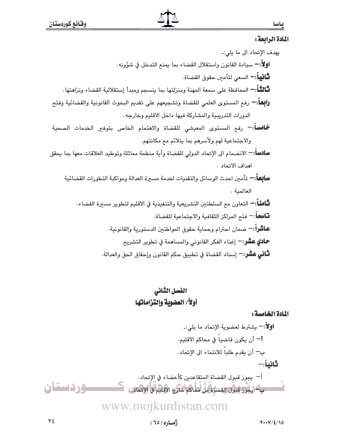#### المادة الرابعة :

يهدف الإتحاد الى ما يلي:-**اولاً:--** سيادة القانون واستقلال القضاء بما يمنع التدخل في شؤونه. **ثَـَّانيبـاً:—** السعى لتأمين حقوق القضاة. ثَلَالثُاً:— المحافظة على سمعة المهنة ومنزلتها بما ينسجم ومبدأ إستقلالية القضاء ونزاهتها. **رابِهاً:—** رفع المستوى العلمي للقضاة وتشجيعهم على تقديم البحوث القانونية والقضائية وفتح الدورات التدريبية والمشاركة فيها داخل الاقليم وخارجه. **حُـامساً:–** رفـم المستوى المعيشى للقضاة والا**م**تمام الخاص بتوفير الخدمات الصحية والاجتماعية لهم ولأسرهم بما يتلائم مع مكانتهم. **سادساً**:— الانضمام الى الإتحاد الدولي للقضاة وأية منظمة مماثلة وتوطيد العلاقات معها بما يحقق اهداف الاتحاد . **سابِعاً:—** تأمين احدث الوسائل والتقنيات لخدمة مسيرة العدالة ومواكبة التطورات القضائية العالمية . **ثَـَّامنـًا**ً:— التعاون مـع السلطتين التشريعية والتنفيذية في الاقليم لتطوير مسيرة القضاء. **تـّاسعـاً**: – فتح المراكز الثقافية والاجتماعية للقضاة. **عاشراً:—** ضمان احترام وحماية حقوق المواطنين الدستورية والقانونية. **حـادي عشر:—** إغناء الفكر القانوني والمساهمة في تطوير التشريع. **ثَـَّانـْي عشْر**:— إسناد القضاة في تطبيق حكم القانون وإحقاق الحق والعدالة.

# الفصل الثانى أولأ/ العضوية وإلتزاماتها

#### المادة الخامسة :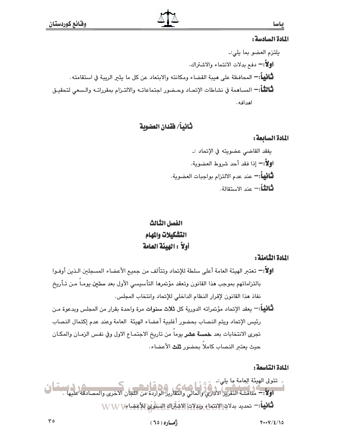#### المادة السادسة:

يلتزم العضو بما يلي:۔ **اولاً: –** دفع بدلات الانتماء والاشتراك. **ثَـَّائِياً:**— المحافظة على هيبة القضاء ومكانته والابتعاد عن كل ما يثير الريبة في استقامته . **ثَالثَـَّا**:— المساهمة في نشاطات الإتحـاد وحـضور اجتماعاتــه والالتــزام بمقرراتــه والـسعي لتحقيـق اهدافه.

ثانياً/ فقدان العضوية

#### المادة السابعة:

يفقد القاضى عضويته في الإتحاد : **اولاً:** – إذا فقد أحد شروط العضوية. **ثَـانياً:–** عند عدم الالتزام بواجبات العضوية. **ثَالث**ًا:— عند الاستقالة.

# الفصل الثالث التشكيلات والهام أولاً : الهيئة العامة

#### المادة الثامنة :

**اولاً:— تع**تبر الهيئة العامة أعلى سلطة للإتحاد وتتألف من جميع الأعضاء المسجلين الـذين أوفـوا بالتزاماتهم بموجب هذا القانون وتعقد مؤتمرها التأسيسي الأول بعد ستين يومـاً مـن تـأريخ نفاذ هذا القانون لإقرار النظام الداخلي للإتحاد وانتخاب المجلس.

**ثَـَّافِيـاً:–** يعقد الإتحاد مؤتمراته الدورية كل **ثلاث سنوات** مرة واحدة بقرار من المجلس وبدعوة مـن رئيس الإتحاد ويتم النصاب بحضور أغلبية أعضاء الهيئة العامة وعند عدم إكتمال النصاب تجرى الانتخابات بعد **خمسة عشر** يوماً من تاريخ الاجتمـاع الاول وفي نفـس الزمـان والمكـان حيث يعتبر النصاب كاملاً بحضور **ثلث** الأعضاء.

#### المادة التياسمة :

ءِ تتولى الهيئة العامة ما يلي:۔ .<br>**اولاً: –** مناقشة التقرير الأداري والمالي والتقارير الواردة من اللجان الأخرى **ثانياً: –** تحديد بدلان الإنتخاء ويزلانا الإشاراك السنار في الأعضاء W W W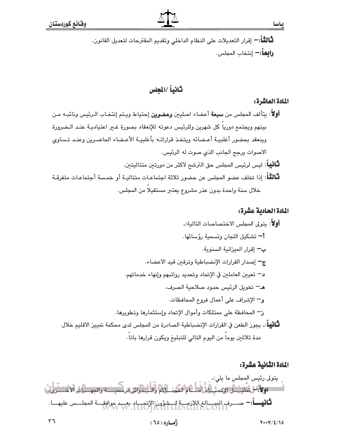ياسا

**ثَـالثـُـاً:—** إقرار التعديلات على النظام الداخلي وتقديم المقترحات لتعديل القانون. **رابعاً:–** إنتخاب المجلس.

ثانياً /الجلس

## المادة العاشرة:

أولاً: يتألف المجلس من سبعة أعضاء اصليين وعضوين إحتياط ويـتم إنتخـاب الـرئيس ونائبـه مـن بينهم ويجتمع دورياً كل شهرين وللرئيس دعوته للإنعقاد بصورة غـير اعتياديـة عنـد الـضرورة وينعقد بحضور أغلبية أعضائه ويتخذ قراراته بأغلبية الأعضاء الحاضرين وعند تساوى الاصوات يرجح الجانب الذي صوت له الرئيس. **ِثْـَافِيـاً**: ليس لرئيس المجلس حق الترشح لاكثر من دورتـن متتاليتـن. **ثَـالثـُا**ً: إذا تخلف عضو المجلس عن حضور ثلاثة اجتماعـات متتاليـة أو خمسة أجتماعـات متفرقـة خلال سنة واحدة بدون عذر مشروع يعتبر مستقيلاً من المجلس.

#### المادة الحادية عشرة:

المادة الثانية عشرة: يتولى رئيس المجلس ما يلي:۔ سيسية والحصافة الأخسيريات اولا: ﴿ تُمْثِيبُ لَ الاتحادُ الْقَرْأَيْنَا عَامَ الْكِتَابَ **ثانیــــاً:-** م حرف المبسالغ اللازم موافقة المجلس عليها.

 $\tau\tau$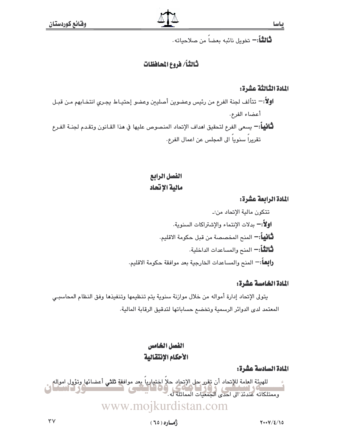**ثَالثاً:-** تخويل نائيه بعضاً من صلاحياته .

# ثالثاً/ فروع المعافظات

#### المادة الثالثة عشرة:

**اولاً:--** تتألف لجنة الفرع من رئيس وعضوين أصليين وعضو إحتيـاط يجـري انتخـابهم مـن قبـل أعضاء الفرع. **ثَـانيـاً:**— يسعى الفرع لتحقيق اهداف الإتحاد المنصوص عليها في هذا القـانون وتقـدم لجنــة الفـرع تقريراً سنوياً الى المجلس عن اعمال الفرع.

# القصل الرابع مالية الإتحاد

المادة الرابعة عشرة:

تتكون مالية الإتحاد من:۔ **اولاً:-** بدلات الإنتماء والإشتراكات السنوية. **ثَـانياً**:— المنح المخصصة من قبل حكومة الاقليم. **ثَـالثَـّاً:**– المنح والمساعدات الداخلية. **رابعاً**:— المنح والمساعدات الخارجية بعد موافقة حكومة الاقليم.

#### المادة الخامسة عشرة:

يتولى الإتحاد إدارة أمواله من خلال موازنة سنوية يتم تنظيمها وتنفيذها وفق النظام المحاسبي المعتمد لدى الدوائر الرسمية وتخضم حساباتها لتدقيق الرقابة المالية.

# القصل الخامس الأحكام الإنتقالية

#### المادة السادسة عشرة: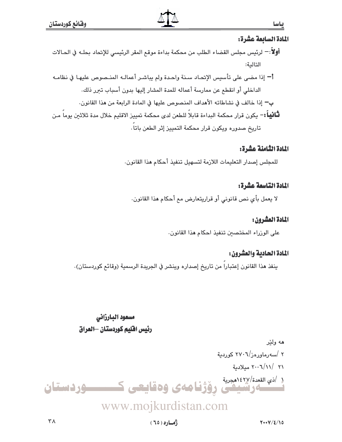# ياسا

#### المادة السابعة عشرة:

- أولاً:— لرئيس مجلس القضاء الطلب من محكمة بداءة موقع المقر الرئيسي للإتحاد بحلـه في الحـالات التالية:
- أ¬ إذا مضى على تأسيس الإتحاد سنة واحدة ولم يباشـر أعمالـه المنـصوص عليهـا في نظامـه الداخلي أو انقطع عن ممارسة أعماله للمدة المشار إليها بدون أسباب تعرر ذلك. بِ إذا خالف في نشاطاته الأهداف المنصوص عليها في المادة الرابعة من هذا القانون. **ثَـَّافِياً :**– يكون قرار محكمة البداءة قابلاً للطعن لدى محكمة تمييز الاقليم خلال مدة ثلاثين يوما مـن تاريخ صدوره ويكون قرار محكمة التمييز إثر الطعن باتا .

#### المادة الثَّامنة عشْرة:

للمجلس إصدار التعليمات اللازمة لتسهيل تنفيذ أحكام هذا القانون.

#### المادة التاسعة عشرة:

لا يعمل بأي نص قانوني أو قراريتعارض مع أحكام هذا القانون.

#### المادة العشرون:

على الوزراء المختصين تنفيذ احكام هذا القانون.

#### المادة الحادية والعشرون:

ينفذ هذا القانون إعتبارا من تاريخ إصداره وينشر في الجريدة الرسمية (وقائع كوردستان).

## مسعود البارزاني رئيس افليم كوردستان —العراق

هه ولێر ٢ /سەرماورەز/٢٧٠٦ كوردية ٢١ / ٢٠١ / ٢٠٠٦ مىلادىية ( /ذي القعدة/١٤٢٧هجرية ەرشىقتى رۆژنامەي وەقايعى كىسسسوردستان www.mojkurdistan.com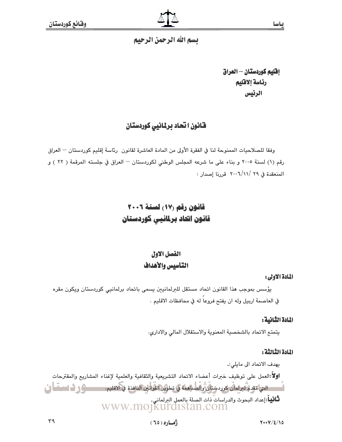ىاسا

يسم الله الرحمن الرحيم

إفليم كوردستان – العراق رئاسة إلاقليم الرئيس

## قانون ا تحاد برنانیی کوردستان

وفقا للصلاحيات الممنوحة لنا في الفقرة الأولى من المادة العاشرة لقانون رئاسة إقليم كوردستان — العراق رقم (١) لسنة ٢٠٠٥ و بناء على ما شرعه المجلس الوطني لكوردستان - العراق في جلسته المرقمة ( ٢٢ ) و المنعقدة في ٢٩ /١١/١٦ قررنا إصدار :

# قانون رقم (١٧) لسنة ٢٠٠٦ قانون اتحاد برلمنيى كوردستان

# الفصل الاول التأسيس والأهداف

#### المادة الأولى:

يؤسس بموجب هذا القانون اتحاد مستقل للبرلمانيين يسمى باتحاد برلمانيي كوردستان ويكون مقره في العاصمة اربيل وله ان يفتح فروعاً له في محافظات الاقليم .

#### المادة الثانية :

يتمتع الاتحاد بالشخصية المعنوية والاستقلال المالي والادارى.

#### المادة الثالثة :

يهدف الاتحاد الى مايلي:۔ اولاً:العمل على توظيف خبرات أعضاء الاتحاد التشريعية والثقافية والعلمية لإغناء المشاريع والمقترحات <mark>ِ \_\_\_ التي تقدم لبرلمان كوردشتان والم</mark>ماهية في تطوير القوانين النافذة في الاقليم. \_\_\_\_\_\_\_@ و **ف انسماسا ت**ي **ثَانِياً:**إعداد البحوث والدراسات ذات الصلة بالعمل البرلماني. www.mojkurdistan.com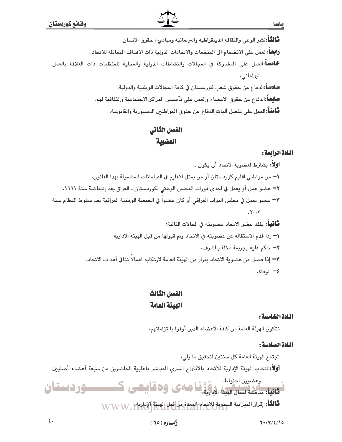ثَلَالثًاً:نشر الوعى والثقافة الديمقراطية والبرلمانية ومباديء حقوق الانسان. **رابِها:**العمل على الانضمام الى المنظمات والاتحادات الدولية ذات الاهداف المماثلة للاتحاد. **مُحامساً**:العمل على المشاركة في المجالات والنشاطات الدولية والمحلية للمنظمات ذات العلاقة بالعمل البرلماني. **سادساً**:الدفاع عن حقوق شعب كوردستان في كافة المجالات الوطنية والدولية. **سابهـاً:**الدفاع عن حقوق الاعضاء والعمل على تأسيس المراكز الاجتماعية والثقافية لهم. **ثَـَّامنـْا**ً:العمل على تفعيل آليات الدفاع عن حقوق المواطنين الدستورية والقانونية.

# الفصل الثانى العضوية

#### المادة الرابعة:

**اولاً:** بشترط لعضوية الاتحاد أن بكون:ـ \— من مواطني اقليم كوردستان أو من يمثل الاقليم في البرلمانات المشمولة بهذا القانون. ٢= عضو عمل أو يعمل في احدى دورات المجلس الوطنى لكوردستان ـ العراق بعد إنتفاضة سنة ١٩٩١. ٣- عضو يعمل في مجلس النواب العراقي أو كان عضوا في الجمعية الوطنية العراقية بعد سقوط النظام سنة  $.5.7$ **ثَّانياً**: يفقد عضو الاتحاد عضويته في الحالات التالية: \¬ إذا قدم الاستقالة عن عضويته في الاتحاد وتم قبولها من قبل الهيئة الادارية. ٢– حكم عليه بجريمة مخلة بالشرف. ٣- إذا فصل من عضوية الاتحاد بقرار من الهيئة العامة لارتكابه اعمالا تنافي أهداف الاتحاد. ٤— الوفاة.

# الفصل الثالث الهيئة العامة

#### المادة الخامسة:

تتكون الهيئة العامة من كافة الاعضاء الذين أوفوا بالتزاماتهم.

#### المادة السادسة:

تجتمع الهيئة العامة كل سنتين لتحقيق ما يلي:

أولاً:انتخاب الهيئة الإدارية للاتحاد بالاقتراع السري المباشر بأغلبية الحاضرين من سبعة أعضاء أصليين

## وعضوين احتياط. می کسی می کند .<br>دنیا: مناقش است الهیئه الایالیه با حادی وه قاییعی کسیست و دستان

ثالثاً: إقرار الميزانية السنوية للاتحاد المعه من قبل الهيئة الإدارية. WWW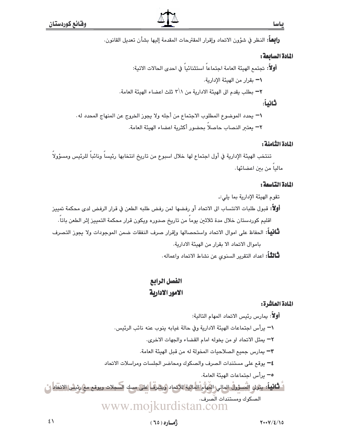رابعاً: النظر في شؤون الاتحاد وإقرار المقترحات المقدمة إليها بشأن تعديل القانون.

#### المادة السائمة:

**أَوْلاً:** تحتمع الهبئة العامة احتماعاً استثنائياً في اح*دى* الحالات الاتبة: \¬ بقرار من الهيئة الإدارية. ٣— بطلب يقدم الى الهيئة الادارية من ٣١١ ثلث اعضاء الهيئة العامة. ثانياً:

\— يحدد الموضوع المطلوب الاجتماع من أجله ولا يجوز الخروج عن المنهاج المحدد له. ٢– يعتبر النصاب حاصلا بحضور أكثرية اعضاء الهيئة العامة.

#### المادة الثامنة :

تنتخب الهيئة الإدارية في أول اجتماع لها خلال اسبوع من تاريخ انتخابها رئيساً ونائباً للرئيس ومسؤولاً ـ ماليا من بين اعضائها.

#### المادة التاسمة:

تقوم الهيئة الإدارية بما يلي:-أولاً: قبول طلبات الانتساب الى الاتحاد أو رفضها لمن رفض طلبه الطعن في قرار الرفض ل*دى* محكمة تمييز اقليم كوردستان خلال مدة ثلاثين يوماً من تاريخ صدوره ويكون قرار محكمة التمييز إثر الطعن باتاً . **ثَـَّاثِياً:** الـحفاظ على اموال الاتحاد واستحصالها وإقرار صرف النفقات ضمن الموجودات ولا يجوز التصرف باموإل الاتحاد الا بقرار من الهيئة الادارية. **ثَـالثَـَّا**: اعداد التقرير السنوى عن نشاط الاتحاد واعماله.

# القصل الرابع الامور الادارية

#### المادة العاش ة:

أَوْلاً: يمارس رئيس الاتحاد المهام التالية: \¬ برأس اجتماعات الهيئة الادارية وفي حالة غيابه بنوب عنه نائب الرئيس. ٢- يمثل الاتحاد او من يخوله امام القضاء والجهات الاخرى. ٣– يمارس جميع الصلاحيات المخولة له من قبل الهيئة العامة. ٤– يوقع على مستندات الصرف والصكوك ومحاضر الجلسات ومراسلات الاتحاد 0– برأس احتماعات الهيئة العامة. ِّ **شَانِياً:** يتولى الْمُسؤولُ المالي المُهلَّم ْالمالية للاتحاد ويشرفُ على مسك السجلات ويوقع مع رئيس الاتخّار ن الصكوك ومستندات الصرف. www.moikurdistan.com

 $Y \cdot Y / 2 / 10$ 

**ژمساره ( ٦٥ )**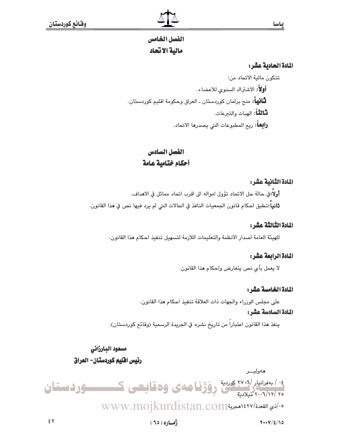

باسا

# الفصل الخامس مالية الاتحاد

#### المادة الحادية عشر:

تتكون مالية الاتحاد من: أولاً: الاشتراك السنوى للاعضاء. **ِٿَائِياً**: منح برلمان کورڊستان ـ العراق وحکومة اقليم کورڊستان. **ثَـالثَـاً:** الهبات والتـرعات. **رابِعـاً**: ريم المطبوعات التي يصدرها الاتحاد.

# القصل السادس أحكام ختامية عامة

#### المادة الثانية عشر:

أولاً:في حالة حل الاتحاد تؤول امواله الى اقرب اتحاد مماثل في الاهداف. **ثانياً:**تطبق احكام قانون الجمعيات النافذ في الحالات التي لم يرد فيها نص في هذا القانون.

#### المادة الثّالثّة عشر :

للهيئة العامة اصدار الانظمة والتعليمات اللازمة لتسهيل تنفيذ احكام هذا القانون.

#### المادة الرابعة عشر:

لا يعمل بأي نص يتعارض واحكام هذا القانون.

#### المادة الخامسة عشر :

على مجلس الوزراء والجهات ذات العلاقة تنفيذ احكام هذا القانون. المادة السادسة عشر :

ينفذ هذا القانون اعتباراً من تاريخ نشره في الجريدة الرسمية (وقائم كوردستان).

# مسعود البارزاني رئيس افليم كوردستان- العراق

هەوليىر ٢٧٠٨/ بەفرانبار/٢٧٠٨ كوردية رۆژفا هەى وەقايىمى كىسىسورداستان NETV/ني القعدة/١٤٢٧هجرية www.mojkurdistan.com

زماره ( ٦٥ )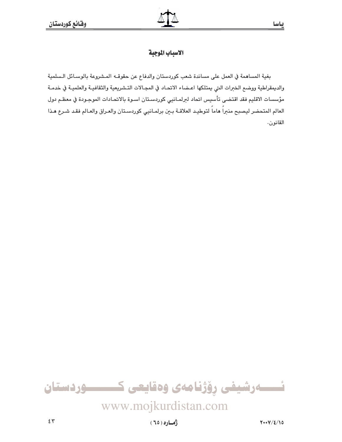## الاسباب الموجبة

بغية المساهمة في العمل على مساندة شعب كوردستان والدفاع عن حقوقــه المـشروعة بالوسـائل الـسلمية والديمقراطية ووضع الخبرات التي يمتلكها اعـضاء الاتحـاد في المجـالات التـشريعية والثقافيـة والعلميـة في خدمـة مؤسسات الاقليم فقد اقتضى تأسيس اتحاد لبرلمـانيي كوردسـتان اسـوة بالاتحـادات الموجـودة في معظـم دول العالم المتحضر ليصبح منبراً هاماً لتوطيد العلاقـة بـين برلمـانيي كوردسـتان والعـراق والعـالم فقـد شـرع هـذا القانون.